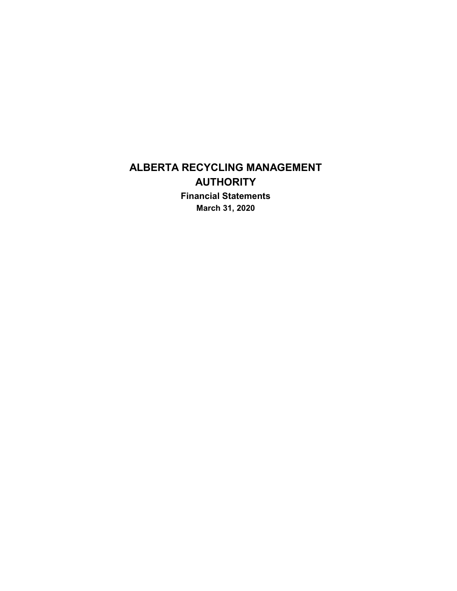**Financial Statements March 31, 2020**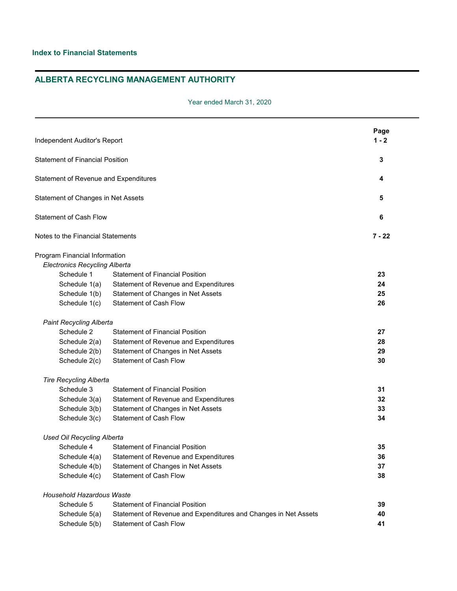| Independent Auditor's Report           |                                                                 | Page<br>$1 - 2$ |
|----------------------------------------|-----------------------------------------------------------------|-----------------|
| <b>Statement of Financial Position</b> |                                                                 | 3               |
| Statement of Revenue and Expenditures  | 4                                                               |                 |
| Statement of Changes in Net Assets     |                                                                 | 5               |
| <b>Statement of Cash Flow</b>          |                                                                 | 6               |
| Notes to the Financial Statements      |                                                                 | 7 - 22          |
| Program Financial Information          |                                                                 |                 |
| <b>Electronics Recycling Alberta</b>   |                                                                 |                 |
| Schedule 1                             | <b>Statement of Financial Position</b>                          | 23              |
| Schedule 1(a)                          | Statement of Revenue and Expenditures                           | 24              |
| Schedule 1(b)                          | Statement of Changes in Net Assets                              | 25              |
| Schedule 1(c)                          | <b>Statement of Cash Flow</b>                                   | 26              |
| <b>Paint Recycling Alberta</b>         |                                                                 |                 |
| Schedule 2                             | <b>Statement of Financial Position</b>                          | 27              |
| Schedule 2(a)                          | Statement of Revenue and Expenditures                           | 28              |
| Schedule 2(b)                          | Statement of Changes in Net Assets                              | 29              |
| Schedule 2(c)                          | <b>Statement of Cash Flow</b>                                   | 30              |
| <b>Tire Recycling Alberta</b>          |                                                                 |                 |
| Schedule 3                             | <b>Statement of Financial Position</b>                          | 31              |
| Schedule 3(a)                          | Statement of Revenue and Expenditures                           | 32              |
| Schedule 3(b)                          | Statement of Changes in Net Assets                              | 33              |
| Schedule 3(c)                          | <b>Statement of Cash Flow</b>                                   | 34              |
| <b>Used Oil Recycling Alberta</b>      |                                                                 |                 |
| Schedule 4                             | <b>Statement of Financial Position</b>                          | 35              |
|                                        | Schedule 4(a) Statement of Revenue and Expenditures             | 36              |
| Schedule 4(b)                          | Statement of Changes in Net Assets                              | 37              |
| Schedule 4(c)                          | <b>Statement of Cash Flow</b>                                   | 38              |
| <b>Household Hazardous Waste</b>       |                                                                 |                 |
| Schedule 5                             | <b>Statement of Financial Position</b>                          | 39              |
| Schedule 5(a)                          | Statement of Revenue and Expenditures and Changes in Net Assets | 40              |
| Schedule 5(b)                          | Statement of Cash Flow                                          | 41              |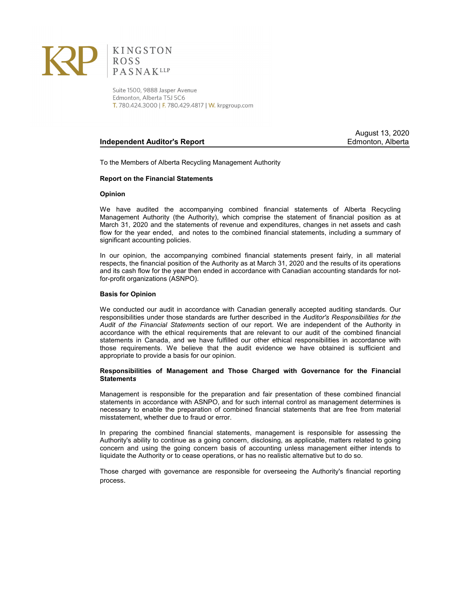

RUNGSTON ROSS

Suite 1500, 9888 Jasper Avenue Edmonton, Alberta T5J 5C6 T. 780.424.3000 | F. 780.429.4817 | W. krpgroup.com

### **Independent Auditor's Report** Auditorial Edmonton, Alberta

August 13, 2020

To the Members of Alberta Recycling Management Authority

#### **Report on the Financial Statements**

#### **Opinion**

We have audited the accompanying combined financial statements of Alberta Recycling Management Authority (the Authority), which comprise the statement of financial position as at March 31, 2020 and the statements of revenue and expenditures, changes in net assets and cash flow for the year ended, and notes to the combined financial statements, including a summary of significant accounting policies.

In our opinion, the accompanying combined financial statements present fairly, in all material respects, the financial position of the Authority as at March 31, 2020 and the results of its operations and its cash flow for the year then ended in accordance with Canadian accounting standards for notfor-profit organizations (ASNPO).

#### **Basis for Opinion**

We conducted our audit in accordance with Canadian generally accepted auditing standards. Our responsibilities under those standards are further described in the *Auditor's Responsibilities for the Audit of the Financial Statements* section of our report. We are independent of the Authority in accordance with the ethical requirements that are relevant to our audit of the combined financial statements in Canada, and we have fulfilled our other ethical responsibilities in accordance with those requirements. We believe that the audit evidence we have obtained is sufficient and appropriate to provide a basis for our opinion.

### **Responsibilities of Management and Those Charged with Governance for the Financial Statement***s*

Management is responsible for the preparation and fair presentation of these combined financial statements in accordance with ASNPO, and for such internal control as management determines is necessary to enable the preparation of combined financial statements that are free from material misstatement, whether due to fraud or error.

In preparing the combined financial statements, management is responsible for assessing the Authority's ability to continue as a going concern, disclosing, as applicable, matters related to going concern and using the going concern basis of accounting unless management either intends to liquidate the Authority or to cease operations, or has no realistic alternative but to do so.

Those charged with governance are responsible for overseeing the Authority's financial reporting process.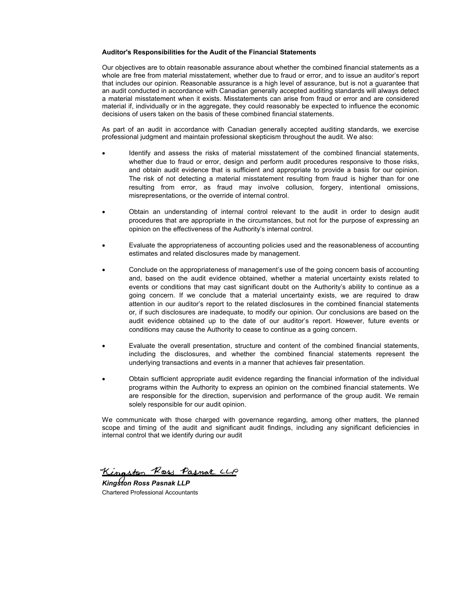### **Auditor's Responsibilities for the Audit of the Financial Statements**

Our objectives are to obtain reasonable assurance about whether the combined financial statements as a whole are free from material misstatement, whether due to fraud or error, and to issue an auditor's report that includes our opinion. Reasonable assurance is a high level of assurance, but is not a guarantee that an audit conducted in accordance with Canadian generally accepted auditing standards will always detect a material misstatement when it exists. Misstatements can arise from fraud or error and are considered material if, individually or in the aggregate, they could reasonably be expected to influence the economic decisions of users taken on the basis of these combined financial statements.

As part of an audit in accordance with Canadian generally accepted auditing standards, we exercise professional judgment and maintain professional skepticism throughout the audit. We also:

- Identify and assess the risks of material misstatement of the combined financial statements, whether due to fraud or error, design and perform audit procedures responsive to those risks, and obtain audit evidence that is sufficient and appropriate to provide a basis for our opinion. The risk of not detecting a material misstatement resulting from fraud is higher than for one resulting from error, as fraud may involve collusion, forgery, intentional omissions, misrepresentations, or the override of internal control.
- Obtain an understanding of internal control relevant to the audit in order to design audit procedures that are appropriate in the circumstances, but not for the purpose of expressing an opinion on the effectiveness of the Authority's internal control.
- Evaluate the appropriateness of accounting policies used and the reasonableness of accounting estimates and related disclosures made by management.
- Conclude on the appropriateness of management's use of the going concern basis of accounting and, based on the audit evidence obtained, whether a material uncertainty exists related to events or conditions that may cast significant doubt on the Authority's ability to continue as a going concern. If we conclude that a material uncertainty exists, we are required to draw attention in our auditor's report to the related disclosures in the combined financial statements or, if such disclosures are inadequate, to modify our opinion. Our conclusions are based on the audit evidence obtained up to the date of our auditor's report. However, future events or conditions may cause the Authority to cease to continue as a going concern.
- Evaluate the overall presentation, structure and content of the combined financial statements, including the disclosures, and whether the combined financial statements represent the underlying transactions and events in a manner that achieves fair presentation.
- Obtain sufficient appropriate audit evidence regarding the financial information of the individual programs within the Authority to express an opinion on the combined financial statements. We are responsible for the direction, supervision and performance of the group audit. We remain solely responsible for our audit opinion.

We communicate with those charged with governance regarding, among other matters, the planned scope and timing of the audit and significant audit findings, including any significant deficiencies in internal control that we identify during our audit

Kinnston Ross Pasnak LLP

*Kingston Ross Pasnak LLP* Chartered Professional Accountants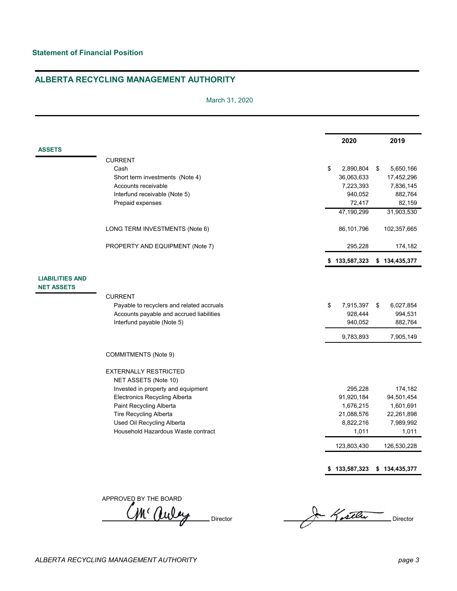### March 31, 2020

|                                             |                                                                            | 2020                  | 2019                  |
|---------------------------------------------|----------------------------------------------------------------------------|-----------------------|-----------------------|
| <b>ASSETS</b>                               |                                                                            |                       |                       |
|                                             | <b>CURRENT</b>                                                             |                       |                       |
|                                             | Cash                                                                       | \$<br>2,890,804       | 5,650,166<br>- \$     |
|                                             | Short term investments (Note 4)                                            | 36,063,633            | 17,452,296            |
|                                             | Accounts receivable<br>Interfund receivable (Note 5)                       | 7,223,393<br>940,052  | 7,836,145<br>882,764  |
|                                             | Prepaid expenses                                                           | 72,417                | 82,159                |
|                                             |                                                                            | 47,190,299            | 31,903,530            |
|                                             |                                                                            |                       |                       |
|                                             | LONG TERM INVESTMENTS (Note 6)                                             | 86,101,796            | 102,357,665           |
|                                             | PROPERTY AND EQUIPMENT (Note 7)                                            | 295,228               | 174,182               |
|                                             |                                                                            | \$133,587,323         | \$134,435,377         |
| <b>LIABILITIES AND</b><br><b>NET ASSETS</b> |                                                                            |                       |                       |
|                                             | <b>CURRENT</b>                                                             |                       |                       |
|                                             | Payable to recyclers and related accruals                                  | 7,915,397<br>\$       | 6,027,854<br>\$       |
|                                             | Accounts payable and accrued liabilities                                   | 928,444               | 994,531               |
|                                             | Interfund payable (Note 5)                                                 | 940,052               | 882,764               |
|                                             |                                                                            | 9,783,893             | 7,905,149             |
|                                             | COMMITMENTS (Note 9)                                                       |                       |                       |
|                                             |                                                                            |                       |                       |
|                                             | <b>EXTERNALLY RESTRICTED</b>                                               |                       |                       |
|                                             | NET ASSETS (Note 10)                                                       |                       |                       |
|                                             | Invested in property and equipment<br><b>Electronics Recycling Alberta</b> | 295,228<br>91,920,184 | 174,182<br>94,501,454 |
|                                             | Paint Recycling Alberta                                                    | 1,676,215             | 1,601,691             |
|                                             | Tire Recycling Alberta                                                     | 21,088,576            | 22,261,898            |
|                                             | Used Oil Recycling Alberta                                                 | 8,822,216             | 7,989,992             |
|                                             | Household Hazardous Waste contract                                         | 1,011                 | 1,011                 |
|                                             |                                                                            | 123,803,430           | 126,530,228           |
|                                             |                                                                            |                       |                       |
|                                             |                                                                            | \$133,587,323         | \$134,435,377         |

APPROVED BY THE BOARD

M<sup>c</sup> auley Director Director Director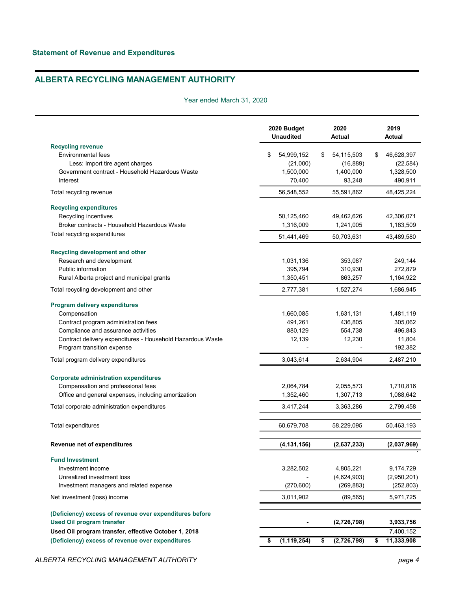|                                                                                          | 2020 Budget<br><b>Unaudited</b> | 2020<br>Actual    | 2019<br><b>Actual</b> |
|------------------------------------------------------------------------------------------|---------------------------------|-------------------|-----------------------|
| <b>Recycling revenue</b>                                                                 |                                 |                   |                       |
| <b>Environmental fees</b>                                                                | 54,999,152<br>\$                | \$<br>54,115,503  | 46,628,397<br>\$      |
| Less: Import tire agent charges                                                          | (21,000)                        | (16, 889)         | (22, 584)             |
| Government contract - Household Hazardous Waste                                          | 1,500,000                       | 1,400,000         | 1,328,500             |
| Interest                                                                                 | 70,400                          | 93,248            | 490,911               |
| Total recycling revenue                                                                  | 56,548,552                      | 55,591,862        | 48,425,224            |
| <b>Recycling expenditures</b>                                                            |                                 |                   |                       |
| Recycling incentives                                                                     | 50,125,460                      | 49,462,626        | 42,306,071            |
| Broker contracts - Household Hazardous Waste                                             | 1,316,009                       | 1,241,005         | 1,183,509             |
| Total recycling expenditures                                                             | 51,441,469                      | 50,703,631        | 43,489,580            |
| Recycling development and other                                                          |                                 |                   |                       |
| Research and development                                                                 | 1,031,136                       | 353,087           | 249,144               |
| Public information                                                                       | 395,794                         | 310,930           | 272,879               |
| Rural Alberta project and municipal grants                                               | 1,350,451                       | 863,257           | 1,164,922             |
| Total recycling development and other                                                    | 2,777,381                       | 1,527,274         | 1,686,945             |
| Program delivery expenditures                                                            |                                 |                   |                       |
| Compensation                                                                             | 1,660,085                       | 1,631,131         | 1,481,119             |
| Contract program administration fees                                                     | 491,261                         | 436,805           | 305,062               |
| Compliance and assurance activities                                                      | 880,129                         | 554,738           | 496,843               |
| Contract delivery expenditures - Household Hazardous Waste<br>Program transition expense | 12,139                          | 12,230            | 11,804<br>192,382     |
| Total program delivery expenditures                                                      | 3,043,614                       | 2,634,904         | 2,487,210             |
| <b>Corporate administration expenditures</b>                                             |                                 |                   |                       |
| Compensation and professional fees                                                       | 2,064,784                       | 2,055,573         | 1,710,816             |
| Office and general expenses, including amortization                                      | 1,352,460                       | 1,307,713         | 1,088,642             |
| Total corporate administration expenditures                                              | 3,417,244                       | 3,363,286         | 2,799,458             |
| Total expenditures                                                                       | 60,679,708                      | 58,229,095        | 50,463,193            |
| Revenue net of expenditures                                                              | (4, 131, 156)                   | (2,637,233)       | (2,037,969)           |
| <b>Fund Investment</b>                                                                   |                                 |                   |                       |
| Investment income                                                                        | 3,282,502                       | 4,805,221         | 9,174,729             |
| Unrealized investment loss                                                               |                                 | (4,624,903)       | (2,950,201)           |
| Investment managers and related expense                                                  | (270, 600)                      | (269, 883)        | (252, 803)            |
| Net investment (loss) income                                                             | 3,011,902                       | (89, 565)         | 5,971,725             |
| (Deficiency) excess of revenue over expenditures before                                  |                                 |                   |                       |
| <b>Used Oil program transfer</b>                                                         |                                 | (2,726,798)       | 3,933,756             |
| Used Oil program transfer, effective October 1, 2018                                     |                                 |                   | 7,400,152             |
| (Deficiency) excess of revenue over expenditures                                         | (1, 119, 254)<br>\$             | (2,726,798)<br>\$ | 11,333,908<br>\$      |
|                                                                                          |                                 |                   |                       |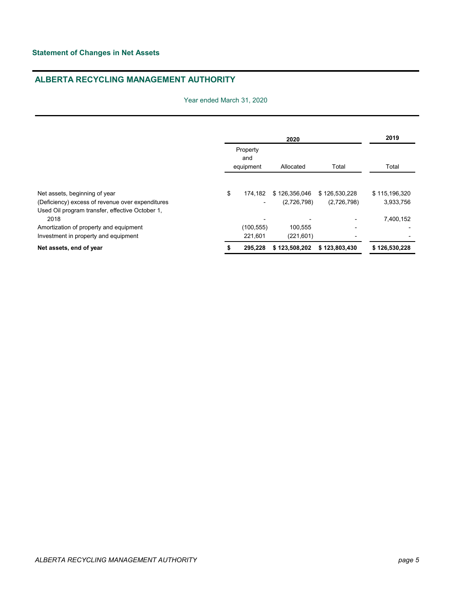|                                                                                                     | 2020 |                 |                       |               | 2019          |
|-----------------------------------------------------------------------------------------------------|------|-----------------|-----------------------|---------------|---------------|
|                                                                                                     |      | Property<br>and |                       |               |               |
|                                                                                                     |      | equipment       | Allocated             | Total         | Total         |
| Net assets, beginning of year                                                                       | \$   |                 | 174,182 \$126,356,046 | \$126,530,228 | \$115,196,320 |
| (Deficiency) excess of revenue over expenditures<br>Used Oil program transfer, effective October 1, |      |                 | (2,726,798)           | (2,726,798)   | 3,933,756     |
| 2018                                                                                                |      |                 |                       |               | 7,400,152     |
| Amortization of property and equipment                                                              |      | (100, 555)      | 100,555               |               |               |
| Investment in property and equipment                                                                |      | 221,601         | (221, 601)            |               |               |
| Net assets, end of year                                                                             | S    | 295.228         | \$123,508,202         | \$123,803,430 | \$126,530,228 |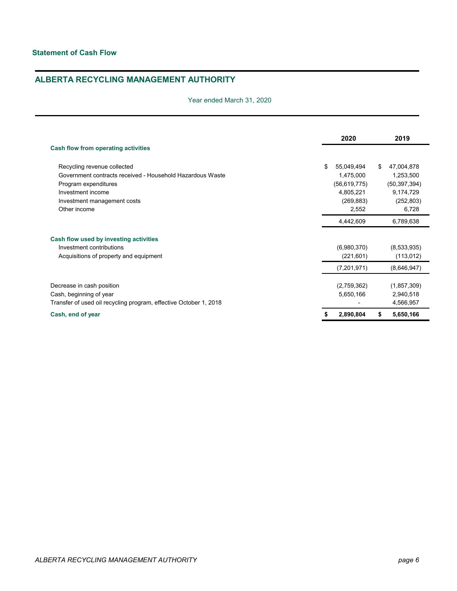|                                                                                              |    | 2020           |    | 2019                   |
|----------------------------------------------------------------------------------------------|----|----------------|----|------------------------|
| Cash flow from operating activities                                                          |    |                |    |                        |
| Recycling revenue collected                                                                  | \$ | 55,049,494     | \$ | 47,004,878             |
| Government contracts received - Household Hazardous Waste                                    |    | 1,475,000      |    | 1,253,500              |
| Program expenditures                                                                         |    | (56, 619, 775) |    | (50, 397, 394)         |
| Investment income                                                                            |    | 4,805,221      |    | 9,174,729              |
| Investment management costs                                                                  |    | (269, 883)     |    | (252, 803)             |
| Other income                                                                                 |    | 2,552          |    | 6,728                  |
|                                                                                              |    | 4,442,609      |    | 6,789,638              |
| Cash flow used by investing activities                                                       |    |                |    |                        |
| Investment contributions                                                                     |    | (6,980,370)    |    | (8,533,935)            |
| Acquisitions of property and equipment                                                       |    | (221, 601)     |    | (113, 012)             |
|                                                                                              |    | (7,201,971)    |    | (8,646,947)            |
| Decrease in cash position                                                                    |    | (2,759,362)    |    | (1, 857, 309)          |
|                                                                                              |    | 5,650,166      |    |                        |
| Cash, beginning of year<br>Transfer of used oil recycling program, effective October 1, 2018 |    |                |    | 2,940,518<br>4,566,957 |
|                                                                                              |    |                |    |                        |
| Cash, end of year                                                                            | S  | 2,890,804      | S  | 5,650,166              |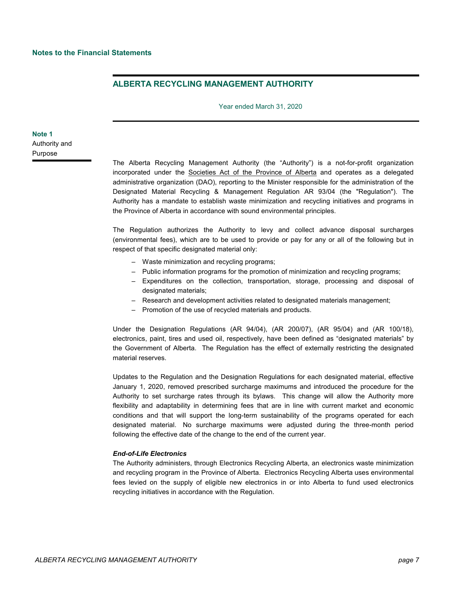Year ended March 31, 2020

**Note 1** Authority and Purpose

> The Alberta Recycling Management Authority (the "Authority") is a not-for-profit organization incorporated under the Societies Act of the Province of Alberta and operates as a delegated administrative organization (DAO), reporting to the Minister responsible for the administration of the Designated Material Recycling & Management Regulation AR 93/04 (the "Regulation"). The Authority has a mandate to establish waste minimization and recycling initiatives and programs in the Province of Alberta in accordance with sound environmental principles.

> The Regulation authorizes the Authority to levy and collect advance disposal surcharges (environmental fees), which are to be used to provide or pay for any or all of the following but in respect of that specific designated material only:

- Waste minimization and recycling programs;
- Public information programs for the promotion of minimization and recycling programs;
- Expenditures on the collection, transportation, storage, processing and disposal of designated materials;
- Research and development activities related to designated materials management;
- Promotion of the use of recycled materials and products.

Under the Designation Regulations (AR 94/04), (AR 200/07), (AR 95/04) and (AR 100/18), electronics, paint, tires and used oil, respectively, have been defined as "designated materials" by the Government of Alberta. The Regulation has the effect of externally restricting the designated material reserves.

Updates to the Regulation and the Designation Regulations for each designated material, effective January 1, 2020, removed prescribed surcharge maximums and introduced the procedure for the Authority to set surcharge rates through its bylaws. This change will allow the Authority more flexibility and adaptability in determining fees that are in line with current market and economic conditions and that will support the long-term sustainability of the programs operated for each designated material. No surcharge maximums were adjusted during the three-month period following the effective date of the change to the end of the current year.

### *End-of-Life Electronics*

The Authority administers, through Electronics Recycling Alberta, an electronics waste minimization and recycling program in the Province of Alberta. Electronics Recycling Alberta uses environmental fees levied on the supply of eligible new electronics in or into Alberta to fund used electronics recycling initiatives in accordance with the Regulation.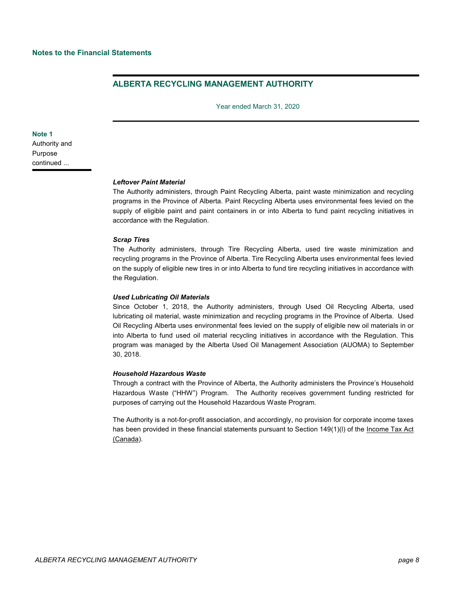Year ended March 31, 2020

**Note 1**

Authority and Purpose continued ...

### *Leftover Paint Material*

The Authority administers, through Paint Recycling Alberta, paint waste minimization and recycling programs in the Province of Alberta. Paint Recycling Alberta uses environmental fees levied on the supply of eligible paint and paint containers in or into Alberta to fund paint recycling initiatives in accordance with the Regulation.

#### *Scrap Tires*

The Authority administers, through Tire Recycling Alberta, used tire waste minimization and recycling programs in the Province of Alberta. Tire Recycling Alberta uses environmental fees levied on the supply of eligible new tires in or into Alberta to fund tire recycling initiatives in accordance with the Regulation.

### *Used Lubricating Oil Materials*

Since October 1, 2018, the Authority administers, through Used Oil Recycling Alberta, used lubricating oil material, waste minimization and recycling programs in the Province of Alberta. Used Oil Recycling Alberta uses environmental fees levied on the supply of eligible new oil materials in or into Alberta to fund used oil material recycling initiatives in accordance with the Regulation. This program was managed by the Alberta Used Oil Management Association (AUOMA) to September 30, 2018.

### *Household Hazardous Waste*

Through a contract with the Province of Alberta, the Authority administers the Province's Household Hazardous Waste ("HHW") Program. The Authority receives government funding restricted for purposes of carrying out the Household Hazardous Waste Program.

The Authority is a not-for-profit association, and accordingly, no provision for corporate income taxes has been provided in these financial statements pursuant to Section 149(1)(I) of the Income Tax Act (Canada).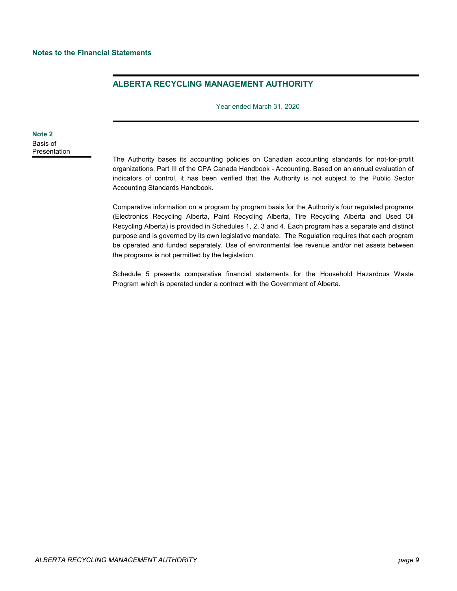Year ended March 31, 2020

**Note 2** Basis of Presentation

The Authority bases its accounting policies on Canadian accounting standards for not-for-profit organizations, Part III of the CPA Canada Handbook - Accounting. Based on an annual evaluation of indicators of control, it has been verified that the Authority is not subject to the Public Sector Accounting Standards Handbook.

Comparative information on a program by program basis for the Authority's four regulated programs (Electronics Recycling Alberta, Paint Recycling Alberta, Tire Recycling Alberta and Used Oil Recycling Alberta) is provided in Schedules 1, 2, 3 and 4. Each program has a separate and distinct purpose and is governed by its own legislative mandate. The Regulation requires that each program be operated and funded separately. Use of environmental fee revenue and/or net assets between the programs is not permitted by the legislation.

Schedule 5 presents comparative financial statements for the Household Hazardous Waste Program which is operated under a contract with the Government of Alberta.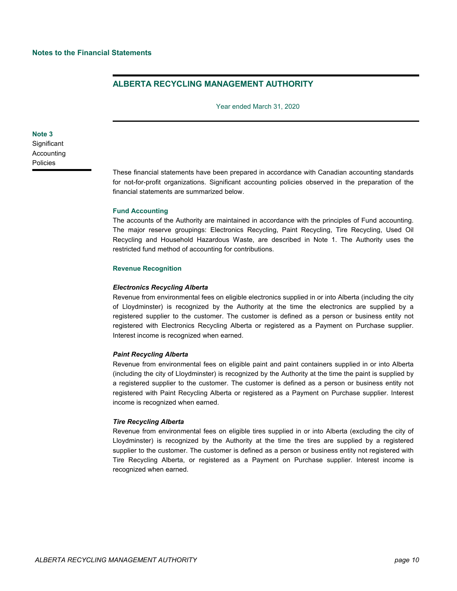Year ended March 31, 2020

### **Note 3**

**Significant** Accounting Policies

These financial statements have been prepared in accordance with Canadian accounting standards for not-for-profit organizations. Significant accounting policies observed in the preparation of the financial statements are summarized below.

### **Fund Accounting**

The accounts of the Authority are maintained in accordance with the principles of Fund accounting. The major reserve groupings: Electronics Recycling, Paint Recycling, Tire Recycling, Used Oil Recycling and Household Hazardous Waste, are described in Note 1. The Authority uses the restricted fund method of accounting for contributions.

### **Revenue Recognition**

### *Electronics Recycling Alberta*

Revenue from environmental fees on eligible electronics supplied in or into Alberta (including the city of Lloydminster) is recognized by the Authority at the time the electronics are supplied by a registered supplier to the customer. The customer is defined as a person or business entity not registered with Electronics Recycling Alberta or registered as a Payment on Purchase supplier. Interest income is recognized when earned.

### *Paint Recycling Alberta*

Revenue from environmental fees on eligible paint and paint containers supplied in or into Alberta (including the city of Lloydminster) is recognized by the Authority at the time the paint is supplied by a registered supplier to the customer. The customer is defined as a person or business entity not registered with Paint Recycling Alberta or registered as a Payment on Purchase supplier. Interest income is recognized when earned.

### *Tire Recycling Alberta*

Revenue from environmental fees on eligible tires supplied in or into Alberta (excluding the city of Lloydminster) is recognized by the Authority at the time the tires are supplied by a registered supplier to the customer. The customer is defined as a person or business entity not registered with Tire Recycling Alberta, or registered as a Payment on Purchase supplier. Interest income is recognized when earned.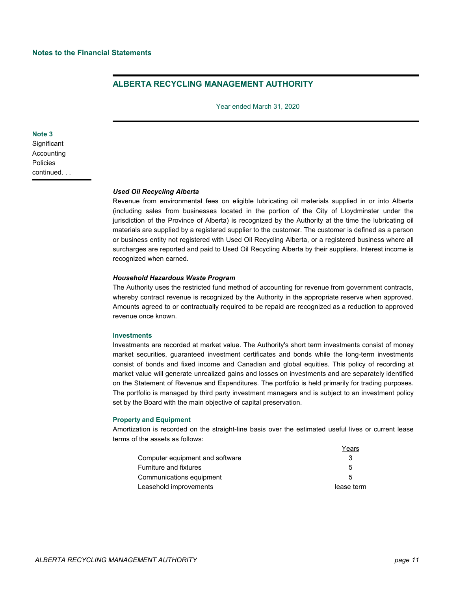Year ended March 31, 2020

### **Note 3**

**Significant** Accounting Policies continued. . .

### *Used Oil Recycling Alberta*

Revenue from environmental fees on eligible lubricating oil materials supplied in or into Alberta (including sales from businesses located in the portion of the City of Lloydminster under the jurisdiction of the Province of Alberta) is recognized by the Authority at the time the lubricating oil materials are supplied by a registered supplier to the customer. The customer is defined as a person or business entity not registered with Used Oil Recycling Alberta, or a registered business where all surcharges are reported and paid to Used Oil Recycling Alberta by their suppliers. Interest income is recognized when earned.

### *Household Hazardous Waste Program*

The Authority uses the restricted fund method of accounting for revenue from government contracts, whereby contract revenue is recognized by the Authority in the appropriate reserve when approved. Amounts agreed to or contractually required to be repaid are recognized as a reduction to approved revenue once known.

#### **Investments**

Investments are recorded at market value. The Authority's short term investments consist of money market securities, guaranteed investment certificates and bonds while the long-term investments consist of bonds and fixed income and Canadian and global equities. This policy of recording at market value will generate unrealized gains and losses on investments and are separately identified on the Statement of Revenue and Expenditures. The portfolio is held primarily for trading purposes. The portfolio is managed by third party investment managers and is subject to an investment policy set by the Board with the main objective of capital preservation.

#### **Property and Equipment**

Amortization is recorded on the straight-line basis over the estimated useful lives or current lease terms of the assets as follows:

|                                 | Years        |
|---------------------------------|--------------|
| Computer equipment and software | 3            |
| <b>Furniture and fixtures</b>   | 5            |
| Communications equipment        | $\mathbf{h}$ |
| Leasehold improvements          | lease term   |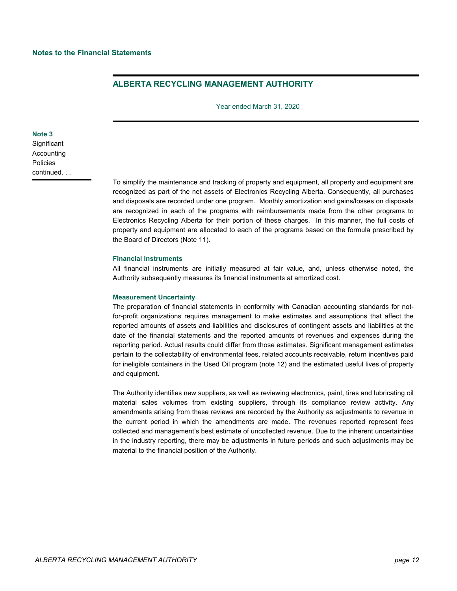Year ended March 31, 2020

### **Note 3**

**Significant Accounting** Policies continued. . .

> To simplify the maintenance and tracking of property and equipment, all property and equipment are recognized as part of the net assets of Electronics Recycling Alberta. Consequently, all purchases and disposals are recorded under one program. Monthly amortization and gains/losses on disposals are recognized in each of the programs with reimbursements made from the other programs to Electronics Recycling Alberta for their portion of these charges. In this manner, the full costs of property and equipment are allocated to each of the programs based on the formula prescribed by the Board of Directors (Note 11).

### **Financial Instruments**

All financial instruments are initially measured at fair value, and, unless otherwise noted, the Authority subsequently measures its financial instruments at amortized cost.

#### **Measurement Uncertainty**

The preparation of financial statements in conformity with Canadian accounting standards for notfor-profit organizations requires management to make estimates and assumptions that affect the reported amounts of assets and liabilities and disclosures of contingent assets and liabilities at the date of the financial statements and the reported amounts of revenues and expenses during the reporting period. Actual results could differ from those estimates. Significant management estimates pertain to the collectability of environmental fees, related accounts receivable, return incentives paid for ineligible containers in the Used Oil program (note 12) and the estimated useful lives of property and equipment.

The Authority identifies new suppliers, as well as reviewing electronics, paint, tires and lubricating oil material sales volumes from existing suppliers, through its compliance review activity. Any amendments arising from these reviews are recorded by the Authority as adjustments to revenue in the current period in which the amendments are made. The revenues reported represent fees collected and management's best estimate of uncollected revenue. Due to the inherent uncertainties in the industry reporting, there may be adjustments in future periods and such adjustments may be material to the financial position of the Authority.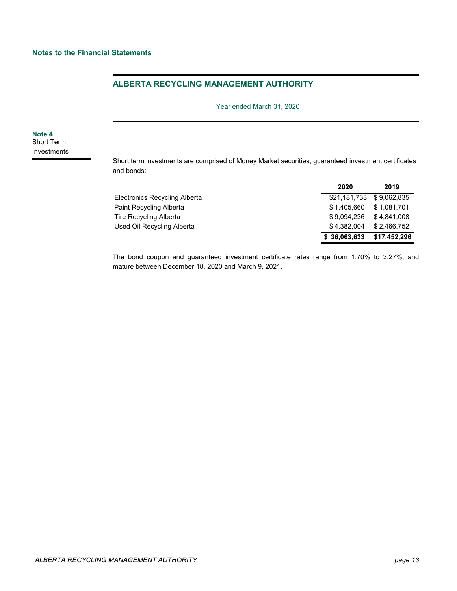Year ended March 31, 2020

## **Note 4** Short Term Investments

Short term investments are comprised of Money Market securities, guaranteed investment certificates and bonds:

|                               | 2020                     | 2019         |
|-------------------------------|--------------------------|--------------|
| Electronics Recycling Alberta | \$21,181,733 \$9,062,835 |              |
| Paint Recycling Alberta       | \$1.405.660 \$1.081.701  |              |
| Tire Recycling Alberta        | \$9.094.236 \$4.841.008  |              |
| Used Oil Recycling Alberta    | \$4.382.004              | \$2,466,752  |
|                               | \$36,063,633             | \$17,452,296 |

The bond coupon and guaranteed investment certificate rates range from 1.70% to 3.27%, and mature between December 18, 2020 and March 9, 2021.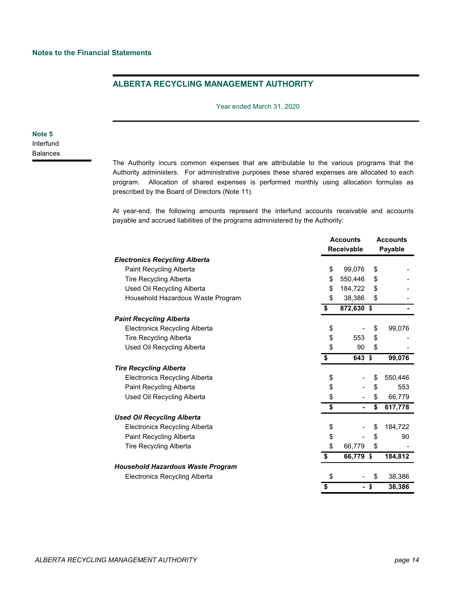Year ended March 31, 2020

## **Note 5** Interfund Balances

The Authority incurs common expenses that are attributable to the various programs that the Authority administers. For administrative purposes these shared expenses are allocated to each program. Allocation of shared expenses is performed monthly using allocation formulas as prescribed by the Board of Directors (Note 11).

At year-end, the following amounts represent the interfund accounts receivable and accounts payable and accrued liabilities of the programs administered by the Authority:

|                                          | <b>Accounts</b>   |      | <b>Accounts</b> |  |
|------------------------------------------|-------------------|------|-----------------|--|
|                                          | <b>Receivable</b> |      | Payable         |  |
| <b>Electronics Recycling Alberta</b>     |                   |      |                 |  |
| Paint Recycling Alberta                  | \$<br>99,076      | \$   |                 |  |
| <b>Tire Recycling Alberta</b>            | \$<br>550,446     | \$   |                 |  |
| Used Oil Recycling Alberta               | \$<br>184,722     | \$   |                 |  |
| Household Hazardous Waste Program        | \$<br>38,386      | \$   |                 |  |
|                                          | \$<br>872,630 \$  |      |                 |  |
| <b>Paint Recycling Alberta</b>           |                   |      |                 |  |
| <b>Electronics Recycling Alberta</b>     | \$                | \$   | 99,076          |  |
| <b>Tire Recycling Alberta</b>            | \$<br>553         | \$   |                 |  |
| Used Oil Recycling Alberta               | \$<br>90          | \$   |                 |  |
|                                          | \$<br>643         | \$   | 99,076          |  |
| <b>Tire Recycling Alberta</b>            |                   |      |                 |  |
| <b>Electronics Recycling Alberta</b>     | \$                | \$   | 550,446         |  |
| Paint Recycling Alberta                  | \$                | \$   | 553             |  |
| Used Oil Recycling Alberta               | \$                | \$   | 66,779          |  |
|                                          | \$                | \$   | 617,778         |  |
| <b>Used Oil Recycling Alberta</b>        |                   |      |                 |  |
| <b>Electronics Recycling Alberta</b>     | \$                | \$   | 184,722         |  |
| Paint Recycling Alberta                  | \$                | \$   | 90              |  |
| <b>Tire Recycling Alberta</b>            | \$<br>66,779      | \$   |                 |  |
|                                          | \$<br>66,779      | \$   | 184,812         |  |
| <b>Household Hazardous Waste Program</b> |                   |      |                 |  |
| <b>Electronics Recycling Alberta</b>     | \$                | \$   | 38,386          |  |
|                                          | \$                | - \$ | 38,386          |  |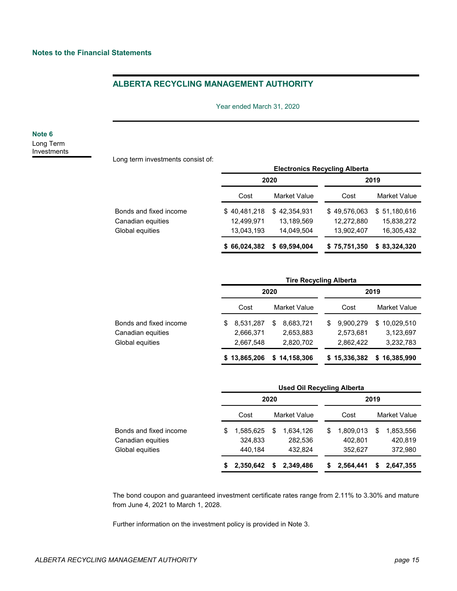### Year ended March 31, 2020

### **Note 6** Long Term Investments

Long term investments consist of:

|                                                                | <b>Electronics Recycling Alberta</b> |              |              |              |  |  |  |  |
|----------------------------------------------------------------|--------------------------------------|--------------|--------------|--------------|--|--|--|--|
|                                                                |                                      | 2020         |              | 2019         |  |  |  |  |
| Bonds and fixed income<br>Canadian equities<br>Global equities | Cost                                 | Market Value |              | Market Value |  |  |  |  |
|                                                                | \$40,481,218                         | \$42,354,931 | \$49,576,063 | \$51,180,616 |  |  |  |  |
|                                                                | 12,499,971                           | 13,189,569   | 12,272,880   | 15,838,272   |  |  |  |  |
|                                                                | 13,043,193                           | 14,049,504   | 13,902,407   | 16,305,432   |  |  |  |  |
|                                                                | \$66,024,382                         | \$69,594,004 | \$75,751,350 | \$83,324,320 |  |  |  |  |

|                        |   | <b>Tire Recycling Alberta</b> |   |              |   |              |              |  |  |
|------------------------|---|-------------------------------|---|--------------|---|--------------|--------------|--|--|
|                        |   | 2020                          |   |              |   | 2019         |              |  |  |
|                        |   | Cost                          |   | Market Value |   | Cost         | Market Value |  |  |
| Bonds and fixed income | S | 8,531,287                     | S | 8,683,721    | S | 9,900,279    | \$10,029,510 |  |  |
| Canadian equities      |   | 2,666,371                     |   | 2,653,883    |   | 2,573,681    | 3,123,697    |  |  |
| Global equities        |   | 2,667,548                     |   | 2,820,702    |   | 2,862,422    | 3,232,783    |  |  |
|                        |   | \$13,865,206                  |   | \$14,158,306 |   | \$15,336,382 | \$16,385,990 |  |  |

|                                                                | <b>Used Oil Recycling Alberta</b> |                             |   |           |    |              |    |           |  |
|----------------------------------------------------------------|-----------------------------------|-----------------------------|---|-----------|----|--------------|----|-----------|--|
|                                                                |                                   | 2020                        |   |           |    | 2019         |    |           |  |
| Bonds and fixed income<br>Canadian equities<br>Global equities |                                   | <b>Market Value</b><br>Cost |   | Cost      |    | Market Value |    |           |  |
|                                                                | S                                 | 1,585,625                   | S | 1,634,126 | \$ | 1,809,013    | \$ | 1,853,556 |  |
|                                                                |                                   | 324,833                     |   | 282,536   |    | 402,801      |    | 420,819   |  |
|                                                                |                                   | 440.184                     |   | 432.824   |    | 352,627      |    | 372,980   |  |
|                                                                | S                                 | 2,350,642                   | S | 2.349.486 | S  | 2.564.441    | S  | 2.647.355 |  |

The bond coupon and guaranteed investment certificate rates range from 2.11% to 3.30% and mature from June 4, 2021 to March 1, 2028.

Further information on the investment policy is provided in Note 3.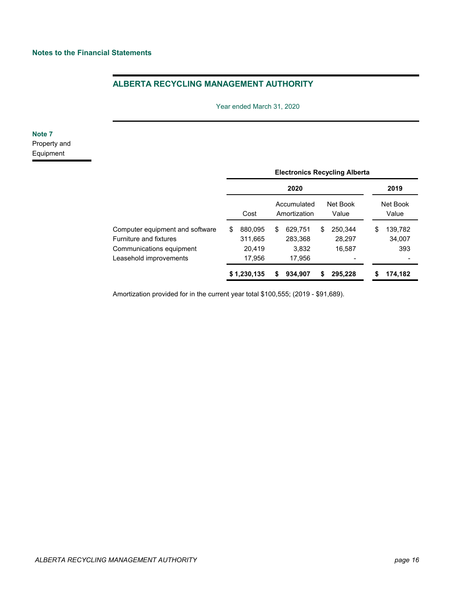Year ended March 31, 2020

**Note 7** Property and Equipment

|                                                                                                                        |   |                                        |    | 2020                                  |   |                             |    | 2019                     |
|------------------------------------------------------------------------------------------------------------------------|---|----------------------------------------|----|---------------------------------------|---|-----------------------------|----|--------------------------|
|                                                                                                                        |   | Cost                                   |    | Accumulated<br>Amortization           |   | Net Book<br>Value           |    | Net Book<br>Value        |
| Computer equipment and software<br><b>Furniture and fixtures</b><br>Communications equipment<br>Leasehold improvements | S | 880,095<br>311,665<br>20,419<br>17.956 | \$ | 629.751<br>283,368<br>3,832<br>17.956 | S | 250.344<br>28,297<br>16,587 | \$ | 139,782<br>34,007<br>393 |
|                                                                                                                        |   | \$1,230,135                            | S  | 934.907                               |   | 295,228                     | \$ | 174,182                  |

Amortization provided for in the current year total \$100,555; (2019 - \$91,689).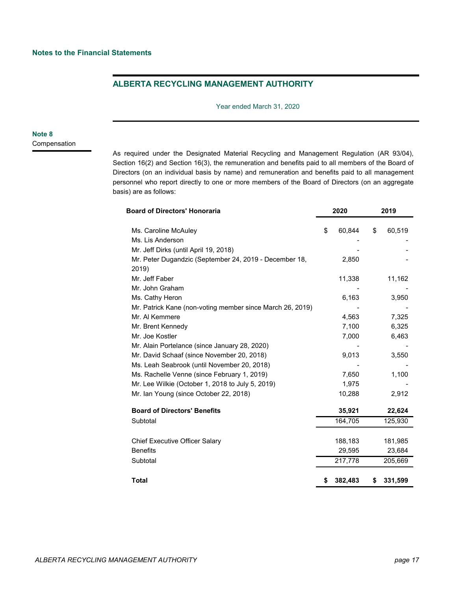### Year ended March 31, 2020

## **Note 8** Compensation

As required under the Designated Material Recycling and Management Regulation (AR 93/04), Section 16(2) and Section 16(3), the remuneration and benefits paid to all members of the Board of Directors (on an individual basis by name) and remuneration and benefits paid to all management personnel who report directly to one or more members of the Board of Directors (on an aggregate basis) are as follows:

| <b>Board of Directors' Honoraria</b>                            |    | 2020    | 2019 |         |  |
|-----------------------------------------------------------------|----|---------|------|---------|--|
| Ms. Caroline McAuley                                            | \$ | 60,844  | \$   | 60,519  |  |
| Ms. Lis Anderson                                                |    |         |      |         |  |
| Mr. Jeff Dirks (until April 19, 2018)                           |    |         |      |         |  |
| Mr. Peter Dugandzic (September 24, 2019 - December 18,<br>2019) |    | 2,850   |      |         |  |
| Mr. Jeff Faber                                                  |    | 11,338  |      | 11,162  |  |
| Mr. John Graham                                                 |    |         |      |         |  |
| Ms. Cathy Heron                                                 |    | 6,163   |      | 3,950   |  |
| Mr. Patrick Kane (non-voting member since March 26, 2019)       |    |         |      |         |  |
| Mr. Al Kemmere                                                  |    | 4,563   |      | 7,325   |  |
| Mr. Brent Kennedy                                               |    | 7,100   |      | 6,325   |  |
| Mr. Joe Kostler                                                 |    | 7,000   |      | 6,463   |  |
| Mr. Alain Portelance (since January 28, 2020)                   |    |         |      |         |  |
| Mr. David Schaaf (since November 20, 2018)                      |    | 9,013   |      | 3,550   |  |
| Ms. Leah Seabrook (until November 20, 2018)                     |    |         |      |         |  |
| Ms. Rachelle Venne (since February 1, 2019)                     |    | 7,650   |      | 1,100   |  |
| Mr. Lee Wilkie (October 1, 2018 to July 5, 2019)                |    | 1,975   |      |         |  |
| Mr. Ian Young (since October 22, 2018)                          |    | 10,288  |      | 2,912   |  |
| <b>Board of Directors' Benefits</b>                             |    | 35,921  |      | 22,624  |  |
| Subtotal                                                        |    | 164,705 |      | 125,930 |  |
| <b>Chief Executive Officer Salary</b>                           |    | 188,183 |      | 181,985 |  |
| <b>Benefits</b>                                                 |    | 29,595  |      | 23,684  |  |
| Subtotal                                                        |    | 217,778 |      | 205,669 |  |
| <b>Total</b>                                                    | S  | 382,483 | \$   | 331,599 |  |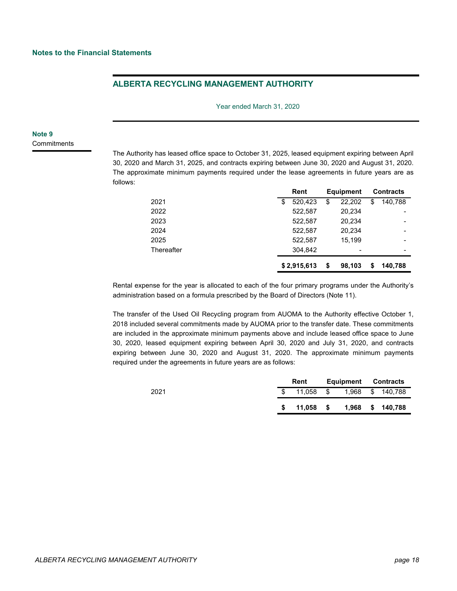Year ended March 31, 2020

## **Note 9 Commitments**

The Authority has leased office space to October 31, 2025, leased equipment expiring between April 30, 2020 and March 31, 2025, and contracts expiring between June 30, 2020 and August 31, 2020. The approximate minimum payments required under the lease agreements in future years are as follows:

|            | Rent          |    | <b>Equipment</b> |    | <b>Contracts</b> |
|------------|---------------|----|------------------|----|------------------|
| 2021       | \$<br>520,423 | \$ | 22,202           | \$ | 140,788          |
| 2022       | 522,587       |    | 20,234           |    |                  |
| 2023       | 522,587       |    | 20,234           |    |                  |
| 2024       | 522,587       |    | 20,234           |    |                  |
| 2025       | 522,587       |    | 15.199           |    |                  |
| Thereafter | 304,842       |    |                  |    | -                |
|            | \$2,915,613   | \$ | 98.103           | S  | 140,788          |

Rental expense for the year is allocated to each of the four primary programs under the Authority's administration based on a formula prescribed by the Board of Directors (Note 11).

The transfer of the Used Oil Recycling program from AUOMA to the Authority effective October 1, 2018 included several commitments made by AUOMA prior to the transfer date. These commitments are included in the approximate minimum payments above and include leased office space to June 30, 2020, leased equipment expiring between April 30, 2020 and July 31, 2020, and contracts expiring between June 30, 2020 and August 31, 2020. The approximate minimum payments required under the agreements in future years are as follows:

|      |    | Rent      | <b>Equipment</b> Contracts |                  |
|------|----|-----------|----------------------------|------------------|
| 2021 |    | 11.058 \$ |                            | 1,968 \$ 140,788 |
|      | S. | 11.058 \$ |                            | 1,968 \$ 140,788 |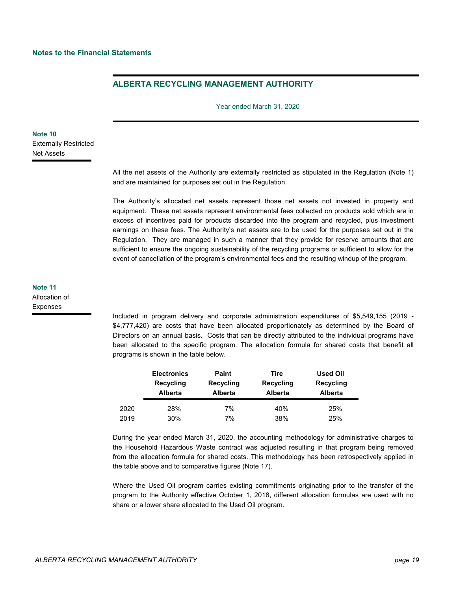Year ended March 31, 2020

**Note 10** Externally Restricted Net Assets

> All the net assets of the Authority are externally restricted as stipulated in the Regulation (Note 1) and are maintained for purposes set out in the Regulation.

> The Authority's allocated net assets represent those net assets not invested in property and equipment. These net assets represent environmental fees collected on products sold which are in excess of incentives paid for products discarded into the program and recycled, plus investment earnings on these fees. The Authority's net assets are to be used for the purposes set out in the Regulation. They are managed in such a manner that they provide for reserve amounts that are sufficient to ensure the ongoing sustainability of the recycling programs or sufficient to allow for the event of cancellation of the program's environmental fees and the resulting windup of the program.

**Note 11** Allocation of Expenses

> Included in program delivery and corporate administration expenditures of \$5,549,155 (2019 - \$4,777,420) are costs that have been allocated proportionately as determined by the Board of Directors on an annual basis. Costs that can be directly attributed to the individual programs have been allocated to the specific program. The allocation formula for shared costs that benefit all programs is shown in the table below.

|      | <b>Electronics</b>          | <b>Paint</b>                | Tire                        | <b>Used Oil</b>             |
|------|-----------------------------|-----------------------------|-----------------------------|-----------------------------|
|      | Recycling<br><b>Alberta</b> | Recycling<br><b>Alberta</b> | Recycling<br><b>Alberta</b> | Recycling<br><b>Alberta</b> |
| 2020 | 28%                         | 7%                          | 40%                         | 25%                         |
| 2019 | 30%                         | 7%                          | 38%                         | 25%                         |

During the year ended March 31, 2020, the accounting methodology for administrative charges to the Household Hazardous Waste contract was adjusted resulting in that program being removed from the allocation formula for shared costs. This methodology has been retrospectively applied in the table above and to comparative figures (Note 17).

Where the Used Oil program carries existing commitments originating prior to the transfer of the program to the Authority effective October 1, 2018, different allocation formulas are used with no share or a lower share allocated to the Used Oil program.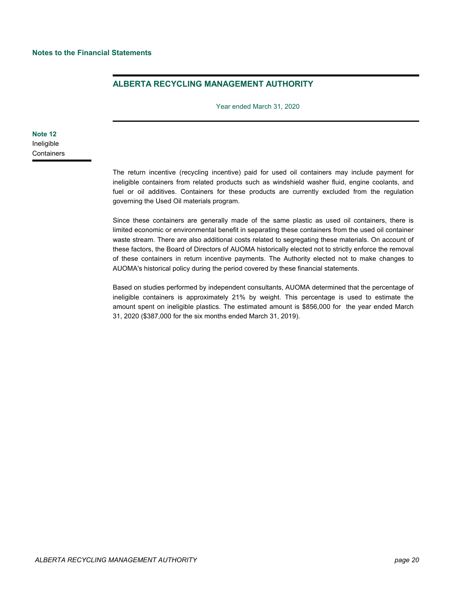Year ended March 31, 2020

**Note 12** Ineligible **Containers** 

> The return incentive (recycling incentive) paid for used oil containers may include payment for ineligible containers from related products such as windshield washer fluid, engine coolants, and fuel or oil additives. Containers for these products are currently excluded from the regulation governing the Used Oil materials program.

> Since these containers are generally made of the same plastic as used oil containers, there is limited economic or environmental benefit in separating these containers from the used oil container waste stream. There are also additional costs related to segregating these materials. On account of these factors, the Board of Directors of AUOMA historically elected not to strictly enforce the removal of these containers in return incentive payments. The Authority elected not to make changes to AUOMA's historical policy during the period covered by these financial statements.

> Based on studies performed by independent consultants, AUOMA determined that the percentage of ineligible containers is approximately 21% by weight. This percentage is used to estimate the amount spent on ineligible plastics. The estimated amount is \$856,000 for the year ended March 31, 2020 (\$387,000 for the six months ended March 31, 2019).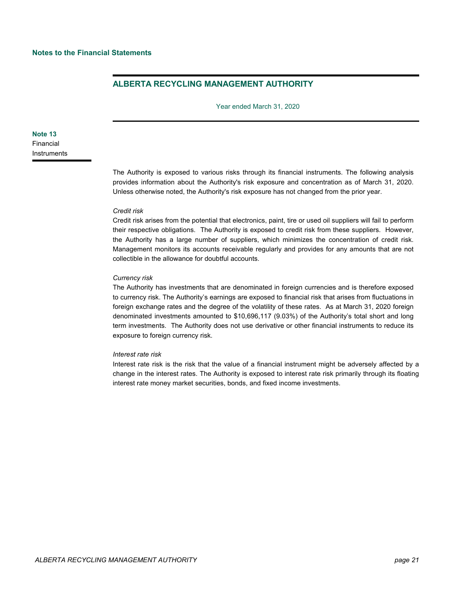Year ended March 31, 2020

**Note 13** Financial **Instruments** 

> The Authority is exposed to various risks through its financial instruments. The following analysis provides information about the Authority's risk exposure and concentration as of March 31, 2020. Unless otherwise noted, the Authority's risk exposure has not changed from the prior year.

#### *Credit risk*

Credit risk arises from the potential that electronics, paint, tire or used oil suppliers will fail to perform their respective obligations. The Authority is exposed to credit risk from these suppliers. However, the Authority has a large number of suppliers, which minimizes the concentration of credit risk. Management monitors its accounts receivable regularly and provides for any amounts that are not collectible in the allowance for doubtful accounts.

### *Currency risk*

The Authority has investments that are denominated in foreign currencies and is therefore exposed to currency risk. The Authority's earnings are exposed to financial risk that arises from fluctuations in foreign exchange rates and the degree of the volatility of these rates. As at March 31, 2020 foreign denominated investments amounted to \$10,696,117 (9.03%) of the Authority's total short and long term investments. The Authority does not use derivative or other financial instruments to reduce its exposure to foreign currency risk.

#### *Interest rate risk*

Interest rate risk is the risk that the value of a financial instrument might be adversely affected by a change in the interest rates. The Authority is exposed to interest rate risk primarily through its floating interest rate money market securities, bonds, and fixed income investments.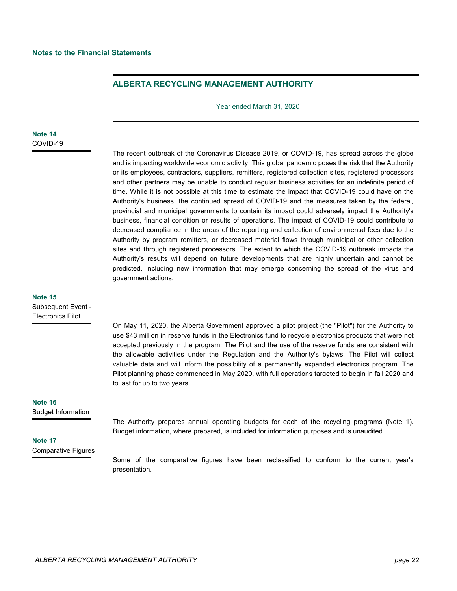Year ended March 31, 2020

### **Note 14** COVID-19

The recent outbreak of the Coronavirus Disease 2019, or COVID-19, has spread across the globe and is impacting worldwide economic activity. This global pandemic poses the risk that the Authority or its employees, contractors, suppliers, remitters, registered collection sites, registered processors and other partners may be unable to conduct regular business activities for an indefinite period of time. While it is not possible at this time to estimate the impact that COVID-19 could have on the Authority's business, the continued spread of COVID-19 and the measures taken by the federal, provincial and municipal governments to contain its impact could adversely impact the Authority's business, financial condition or results of operations. The impact of COVID-19 could contribute to decreased compliance in the areas of the reporting and collection of environmental fees due to the Authority by program remitters, or decreased material flows through municipal or other collection sites and through registered processors. The extent to which the COVID-19 outbreak impacts the Authority's results will depend on future developments that are highly uncertain and cannot be predicted, including new information that may emerge concerning the spread of the virus and government actions.

### **Note 15** Subsequent Event -

Electronics Pilot

On May 11, 2020, the Alberta Government approved a pilot project (the "Pilot") for the Authority to use \$43 million in reserve funds in the Electronics fund to recycle electronics products that were not accepted previously in the program. The Pilot and the use of the reserve funds are consistent with the allowable activities under the Regulation and the Authority's bylaws. The Pilot will collect valuable data and will inform the possibility of a permanently expanded electronics program. The Pilot planning phase commenced in May 2020, with full operations targeted to begin in fall 2020 and to last for up to two years.

# **Note 16**

Budget Information

## **Note 17** Comparative Figures

The Authority prepares annual operating budgets for each of the recycling programs (Note 1). Budget information, where prepared, is included for information purposes and is unaudited.

Some of the comparative figures have been reclassified to conform to the current year's presentation.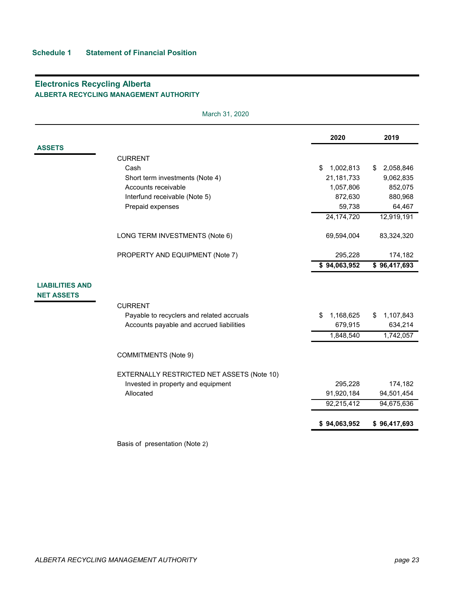|                                             |                                            | 2020                       | 2019                        |
|---------------------------------------------|--------------------------------------------|----------------------------|-----------------------------|
| <b>ASSETS</b>                               |                                            |                            |                             |
|                                             | <b>CURRENT</b>                             |                            |                             |
|                                             | Cash                                       | \$<br>1,002,813            | 2,058,846<br>\$             |
|                                             | Short term investments (Note 4)            | 21, 181, 733               | 9,062,835                   |
|                                             | Accounts receivable                        | 1,057,806                  | 852,075                     |
|                                             | Interfund receivable (Note 5)              | 872,630                    | 880,968                     |
|                                             | Prepaid expenses                           | 59,738                     | 64,467                      |
|                                             |                                            | 24,174,720                 | 12,919,191                  |
|                                             | LONG TERM INVESTMENTS (Note 6)             | 69,594,004                 | 83,324,320                  |
|                                             | PROPERTY AND EQUIPMENT (Note 7)            | 295,228                    | 174,182                     |
|                                             |                                            | \$94,063,952               | \$96,417,693                |
| <b>LIABILITIES AND</b><br><b>NET ASSETS</b> |                                            |                            |                             |
|                                             | <b>CURRENT</b>                             |                            |                             |
|                                             | Payable to recyclers and related accruals  | 1,168,625<br>\$<br>679,915 | 1,107,843<br>\$.<br>634,214 |
|                                             | Accounts payable and accrued liabilities   | 1,848,540                  | 1,742,057                   |
|                                             |                                            |                            |                             |
|                                             | COMMITMENTS (Note 9)                       |                            |                             |
|                                             | EXTERNALLY RESTRICTED NET ASSETS (Note 10) |                            |                             |
|                                             | Invested in property and equipment         | 295,228                    | 174,182                     |
|                                             | Allocated                                  | 91,920,184                 | 94,501,454                  |
|                                             |                                            | 92,215,412                 | 94,675,636                  |
|                                             |                                            | \$94,063,952               | \$96,417,693                |

March 31, 2020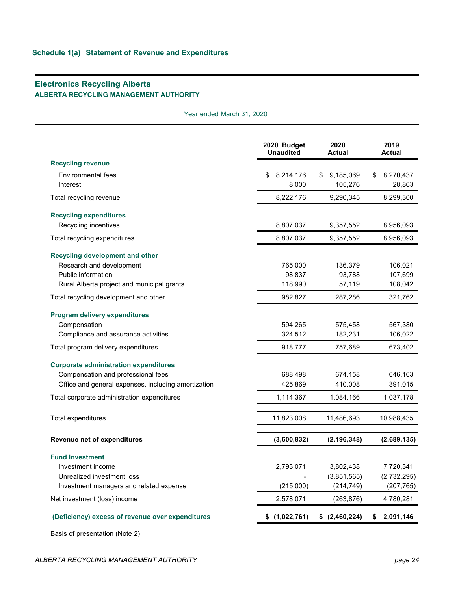Year ended March 31, 2020

|                                                                                                                                               | 2020<br>2020 Budget<br><b>Unaudited</b><br><b>Actual</b> |                                        | 2019<br><b>Actual</b>                  |
|-----------------------------------------------------------------------------------------------------------------------------------------------|----------------------------------------------------------|----------------------------------------|----------------------------------------|
| <b>Recycling revenue</b>                                                                                                                      |                                                          |                                        |                                        |
| <b>Environmental fees</b><br>Interest                                                                                                         | 8,214,176<br>\$<br>8,000                                 | 9,185,069<br>\$<br>105,276             | 8,270,437<br>S<br>28,863               |
| Total recycling revenue                                                                                                                       | 8,222,176                                                | 9,290,345                              | 8,299,300                              |
| <b>Recycling expenditures</b><br>Recycling incentives                                                                                         | 8,807,037                                                | 9,357,552                              | 8,956,093                              |
| Total recycling expenditures                                                                                                                  | 8,807,037                                                | 9,357,552                              | 8,956,093                              |
| <b>Recycling development and other</b><br>Research and development<br><b>Public information</b><br>Rural Alberta project and municipal grants | 765,000<br>98,837<br>118,990                             | 136,379<br>93,788<br>57,119            | 106,021<br>107,699<br>108,042          |
| Total recycling development and other                                                                                                         | 982,827                                                  | 287,286                                | 321,762                                |
| Program delivery expenditures<br>Compensation<br>Compliance and assurance activities                                                          | 594,265<br>324,512                                       | 575,458<br>182,231                     | 567,380<br>106,022                     |
| Total program delivery expenditures                                                                                                           | 918,777                                                  | 757,689                                | 673,402                                |
| <b>Corporate administration expenditures</b><br>Compensation and professional fees<br>Office and general expenses, including amortization     | 688,498<br>425,869                                       | 674,158<br>410,008                     | 646,163<br>391,015                     |
| Total corporate administration expenditures                                                                                                   | 1,114,367                                                | 1,084,166                              | 1,037,178                              |
| Total expenditures                                                                                                                            | 11,823,008                                               | 11,486,693                             | 10,988,435                             |
| Revenue net of expenditures                                                                                                                   | (3,600,832)                                              | (2, 196, 348)                          | (2,689,135)                            |
| <b>Fund Investment</b><br>Investment income<br>Unrealized investment loss<br>Investment managers and related expense                          | 2,793,071<br>(215,000)                                   | 3,802,438<br>(3,851,565)<br>(214, 749) | 7,720,341<br>(2,732,295)<br>(207, 765) |
| Net investment (loss) income                                                                                                                  | 2,578,071                                                | (263, 876)                             | 4,780,281                              |
| (Deficiency) excess of revenue over expenditures                                                                                              | \$(1,022,761)                                            | \$ (2,460,224)                         | 2,091,146<br>\$                        |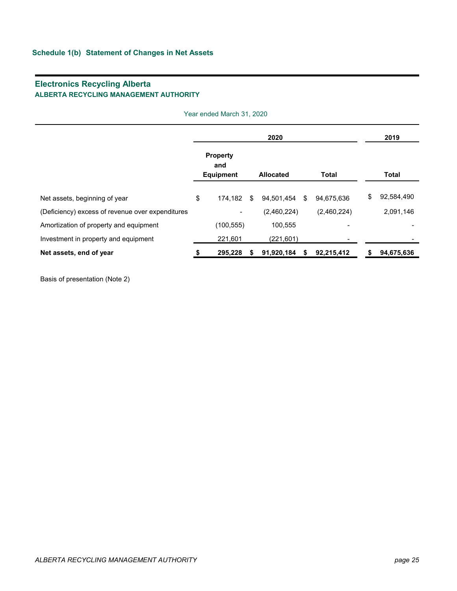|                                                  | 2020 |                                            |   |                  |    |              | 2019 |            |
|--------------------------------------------------|------|--------------------------------------------|---|------------------|----|--------------|------|------------|
|                                                  |      | <b>Property</b><br>and<br><b>Equipment</b> |   | <b>Allocated</b> |    | <b>Total</b> |      | Total      |
| Net assets, beginning of year                    | \$   | 174,182 \$                                 |   | 94.501.454       | \$ | 94.675.636   | \$   | 92,584,490 |
| (Deficiency) excess of revenue over expenditures |      | $\blacksquare$                             |   | (2,460,224)      |    | (2,460,224)  |      | 2,091,146  |
| Amortization of property and equipment           |      | (100, 555)                                 |   | 100,555          |    |              |      |            |
| Investment in property and equipment             |      | 221,601                                    |   | (221, 601)       |    |              |      |            |
| Net assets, end of year                          |      | 295,228                                    | S | 91,920,184       | S  | 92,215,412   | S    | 94,675,636 |

Basis of presentation (Note 2)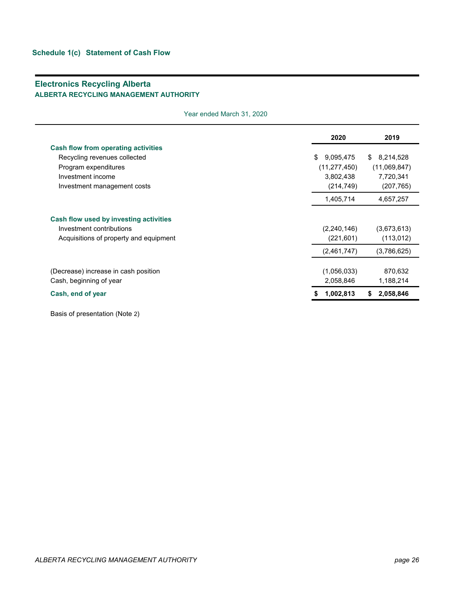Year ended March 31, 2020

|                                                                 | 2020                     | 2019                 |
|-----------------------------------------------------------------|--------------------------|----------------------|
| <b>Cash flow from operating activities</b>                      |                          |                      |
| Recycling revenues collected                                    | \$<br>9,095,475          | 8,214,528<br>S.      |
| Program expenditures                                            | (11, 277, 450)           | (11,069,847)         |
| Investment income                                               | 3,802,438                | 7,720,341            |
| Investment management costs                                     | (214, 749)               | (207, 765)           |
|                                                                 | 1,405,714                | 4,657,257            |
| Cash flow used by investing activities                          |                          |                      |
| Investment contributions                                        | (2, 240, 146)            | (3,673,613)          |
| Acquisitions of property and equipment                          | (221, 601)               | (113, 012)           |
|                                                                 | (2,461,747)              | (3,786,625)          |
| (Decrease) increase in cash position<br>Cash, beginning of year | (1,056,033)<br>2,058,846 | 870,632<br>1,188,214 |
| Cash, end of year                                               | 1,002,813                | 2,058,846<br>S.      |
|                                                                 |                          |                      |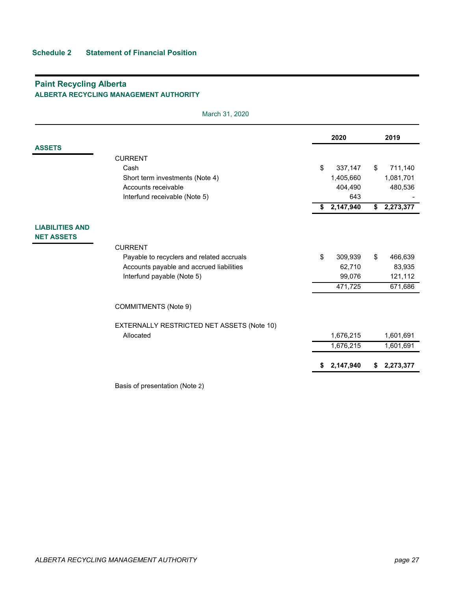|                                             |                                            |    | 2020      | 2019          |
|---------------------------------------------|--------------------------------------------|----|-----------|---------------|
| <b>ASSETS</b>                               |                                            |    |           |               |
|                                             | <b>CURRENT</b>                             |    |           |               |
|                                             | Cash                                       | \$ | 337,147   | \$<br>711,140 |
|                                             | Short term investments (Note 4)            |    | 1,405,660 | 1,081,701     |
|                                             | Accounts receivable                        |    | 404,490   | 480,536       |
|                                             | Interfund receivable (Note 5)              |    | 643       |               |
|                                             |                                            | \$ | 2,147,940 | \$2,273,377   |
| <b>LIABILITIES AND</b><br><b>NET ASSETS</b> |                                            |    |           |               |
|                                             | <b>CURRENT</b>                             |    |           |               |
|                                             | Payable to recyclers and related accruals  | \$ | 309,939   | \$<br>466,639 |
|                                             | Accounts payable and accrued liabilities   |    | 62,710    | 83,935        |
|                                             | Interfund payable (Note 5)                 |    | 99,076    | 121,112       |
|                                             |                                            |    | 471,725   | 671,686       |
|                                             | COMMITMENTS (Note 9)                       |    |           |               |
|                                             | EXTERNALLY RESTRICTED NET ASSETS (Note 10) |    |           |               |
|                                             | Allocated                                  |    | 1,676,215 | 1,601,691     |
|                                             |                                            |    | 1,676,215 | 1,601,691     |
|                                             |                                            | S. | 2,147,940 | \$2,273,377   |

March 31, 2020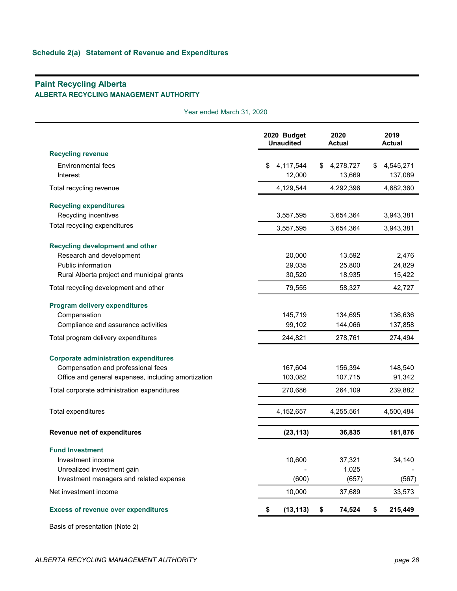Year ended March 31, 2020

|                                                     | 2020 Budget<br><b>Unaudited</b> | 2020<br><b>Actual</b> | 2019<br><b>Actual</b> |
|-----------------------------------------------------|---------------------------------|-----------------------|-----------------------|
| <b>Recycling revenue</b>                            |                                 |                       |                       |
| <b>Environmental fees</b>                           | 4,117,544<br>\$                 | 4,278,727<br>S        | 4,545,271<br>S        |
| Interest                                            | 12,000                          | 13,669                | 137,089               |
| Total recycling revenue                             | 4,129,544                       | 4,292,396             | 4,682,360             |
| <b>Recycling expenditures</b>                       |                                 |                       |                       |
| Recycling incentives                                | 3,557,595                       | 3,654,364             | 3,943,381             |
| Total recycling expenditures                        | 3,557,595                       | 3,654,364             | 3,943,381             |
| Recycling development and other                     |                                 |                       |                       |
| Research and development                            | 20,000                          | 13,592                | 2,476                 |
| Public information                                  | 29,035                          | 25,800                | 24,829                |
| Rural Alberta project and municipal grants          | 30,520                          | 18,935                | 15,422                |
| Total recycling development and other               | 79,555                          | 58,327                | 42,727                |
| <b>Program delivery expenditures</b>                |                                 |                       |                       |
| Compensation                                        | 145,719                         | 134,695               | 136,636               |
| Compliance and assurance activities                 | 99,102                          | 144,066               | 137,858               |
| Total program delivery expenditures                 | 244,821                         | 278,761               | 274,494               |
| <b>Corporate administration expenditures</b>        |                                 |                       |                       |
| Compensation and professional fees                  | 167,604                         | 156,394               | 148,540               |
| Office and general expenses, including amortization | 103,082                         | 107,715               | 91,342                |
| Total corporate administration expenditures         | 270,686                         | 264,109               | 239,882               |
| Total expenditures                                  | 4,152,657                       | 4,255,561             | 4,500,484             |
|                                                     |                                 |                       |                       |
| Revenue net of expenditures                         | (23, 113)                       | 36,835                | 181,876               |
| <b>Fund Investment</b>                              |                                 |                       |                       |
| Investment income                                   | 10,600                          | 37,321                | 34,140                |
| Unrealized investment gain                          |                                 | 1,025                 |                       |
| Investment managers and related expense             | (600)                           | (657)                 | (567)                 |
| Net investment income                               | 10,000                          | 37,689                | 33,573                |
| <b>Excess of revenue over expenditures</b>          | (13, 113)<br>\$                 | \$<br>74,524          | \$<br>215,449         |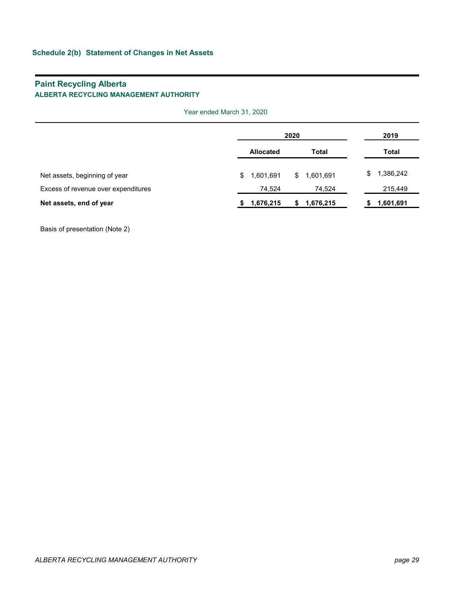|                                     |                  | 2020            | 2019            |
|-------------------------------------|------------------|-----------------|-----------------|
|                                     | <b>Allocated</b> | Total           | Total           |
| Net assets, beginning of year       | \$<br>1,601,691  | 1,601,691<br>\$ | 1,386,242<br>S. |
| Excess of revenue over expenditures | 74,524           | 74,524          | 215,449         |
| Net assets, end of year             | 1,676,215<br>S   | 1,676,215<br>\$ | 1,601,691       |

Year ended March 31, 2020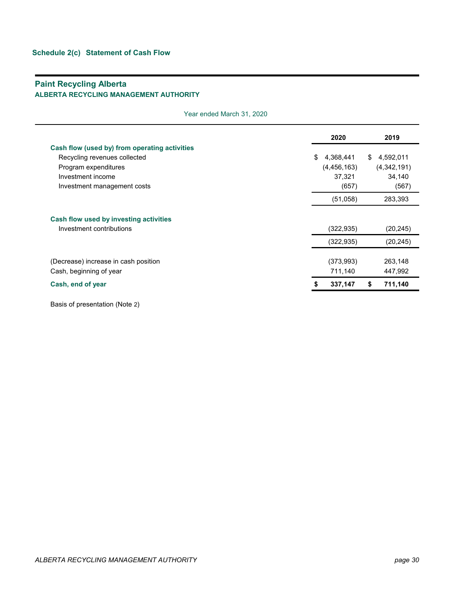| <b>Teal ended March 31, 2020</b>              |                 |                 |
|-----------------------------------------------|-----------------|-----------------|
|                                               | 2020            | 2019            |
| Cash flow (used by) from operating activities |                 |                 |
| Recycling revenues collected                  | 4,368,441<br>\$ | 4,592,011<br>\$ |
| Program expenditures                          | (4, 456, 163)   | (4,342,191)     |
| Investment income                             | 37,321          | 34,140          |
| Investment management costs                   | (657)           | (567)           |
|                                               | (51, 058)       | 283,393         |
| Cash flow used by investing activities        |                 |                 |
| Investment contributions                      | (322, 935)      | (20, 245)       |
|                                               | (322, 935)      | (20, 245)       |
| (Decrease) increase in cash position          | (373,993)       | 263,148         |
| Cash, beginning of year                       | 711,140         | 447,992         |
| Cash, end of year                             | 337,147         | 711,140<br>\$   |
|                                               |                 |                 |

Year ended March 31, 2020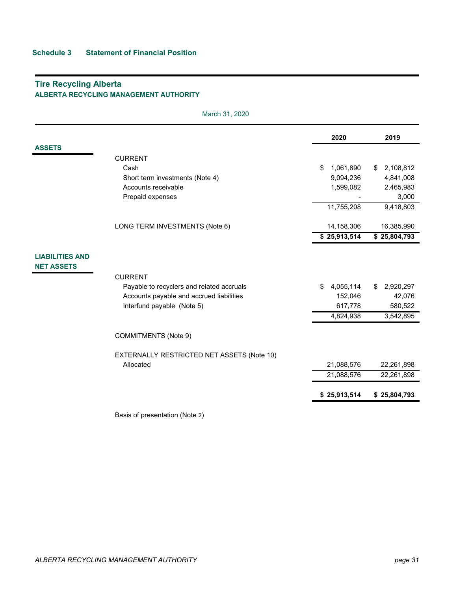### March 31, 2020

|                                             |                                            | 2020            | 2019            |
|---------------------------------------------|--------------------------------------------|-----------------|-----------------|
| <b>ASSETS</b>                               |                                            |                 |                 |
|                                             | <b>CURRENT</b>                             |                 |                 |
|                                             | Cash                                       | 1,061,890<br>\$ | 2,108,812<br>\$ |
|                                             | Short term investments (Note 4)            | 9,094,236       | 4,841,008       |
|                                             | Accounts receivable                        | 1,599,082       | 2,465,983       |
|                                             | Prepaid expenses                           |                 | 3,000           |
|                                             |                                            | 11,755,208      | 9,418,803       |
|                                             | LONG TERM INVESTMENTS (Note 6)             | 14,158,306      | 16,385,990      |
|                                             |                                            | \$25,913,514    | \$25,804,793    |
|                                             |                                            |                 |                 |
| <b>LIABILITIES AND</b><br><b>NET ASSETS</b> |                                            |                 |                 |
|                                             | <b>CURRENT</b>                             |                 |                 |
|                                             | Payable to recyclers and related accruals  | 4,055,114<br>\$ | 2,920,297<br>\$ |
|                                             | Accounts payable and accrued liabilities   | 152,046         | 42,076          |
|                                             | Interfund payable (Note 5)                 | 617,778         | 580,522         |
|                                             |                                            | 4,824,938       | 3,542,895       |
|                                             | <b>COMMITMENTS (Note 9)</b>                |                 |                 |
|                                             | EXTERNALLY RESTRICTED NET ASSETS (Note 10) |                 |                 |
|                                             | Allocated                                  | 21,088,576      | 22,261,898      |
|                                             |                                            | 21,088,576      | 22,261,898      |
|                                             |                                            | \$25,913,514    | \$25,804,793    |
|                                             |                                            |                 |                 |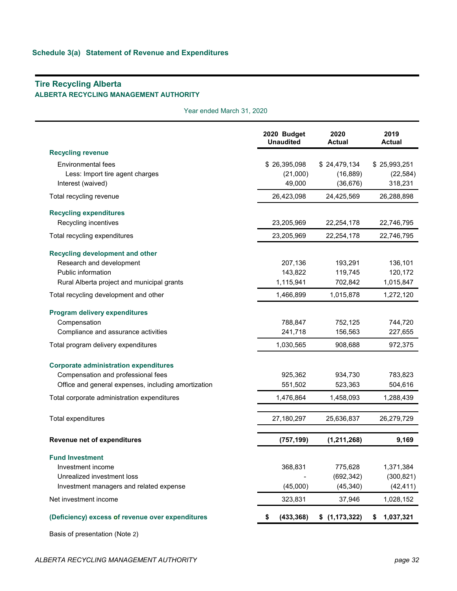Year ended March 31, 2020

|                                                     | 2020 Budget<br><b>Unaudited</b> | 2020<br><b>Actual</b> | 2019<br><b>Actual</b> |
|-----------------------------------------------------|---------------------------------|-----------------------|-----------------------|
| <b>Recycling revenue</b>                            |                                 |                       |                       |
| <b>Environmental fees</b>                           | \$26,395,098                    | \$24,479,134          | \$25,993,251          |
| Less: Import tire agent charges                     | (21,000)                        | (16, 889)             | (22, 584)             |
| Interest (waived)                                   | 49,000                          | (36, 676)             | 318,231               |
| Total recycling revenue                             | 26,423,098                      | 24,425,569            | 26,288,898            |
| <b>Recycling expenditures</b>                       |                                 |                       |                       |
| Recycling incentives                                | 23,205,969                      | 22,254,178            | 22,746,795            |
| Total recycling expenditures                        | 23,205,969                      | 22,254,178            | 22,746,795            |
| <b>Recycling development and other</b>              |                                 |                       |                       |
| Research and development                            | 207,136                         | 193,291               | 136,101               |
| Public information                                  | 143,822                         | 119,745               | 120,172               |
| Rural Alberta project and municipal grants          | 1,115,941                       | 702,842               | 1,015,847             |
| Total recycling development and other               | 1,466,899                       | 1,015,878             | 1,272,120             |
| Program delivery expenditures                       |                                 |                       |                       |
| Compensation                                        | 788,847                         | 752,125               | 744,720               |
| Compliance and assurance activities                 | 241,718                         | 156,563               | 227,655               |
| Total program delivery expenditures                 | 1,030,565                       | 908,688               | 972,375               |
| <b>Corporate administration expenditures</b>        |                                 |                       |                       |
| Compensation and professional fees                  | 925,362                         | 934,730               | 783,823               |
| Office and general expenses, including amortization | 551,502                         | 523,363               | 504,616               |
| Total corporate administration expenditures         | 1,476,864                       | 1,458,093             | 1,288,439             |
| Total expenditures                                  | 27,180,297                      | 25,636,837            | 26,279,729            |
| Revenue net of expenditures                         | (757, 199)                      | (1, 211, 268)         | 9,169                 |
| <b>Fund Investment</b>                              |                                 |                       |                       |
| Investment income                                   | 368,831                         | 775,628               | 1,371,384             |
| Unrealized investment loss                          |                                 | (692, 342)            | (300, 821)            |
| Investment managers and related expense             | (45,000)                        | (45, 340)             | (42, 411)             |
| Net investment income                               | 323,831                         | 37,946                | 1,028,152             |
| (Deficiency) excess of revenue over expenditures    | (433, 368)<br>\$                | \$(1,173,322)         | 1,037,321<br>\$       |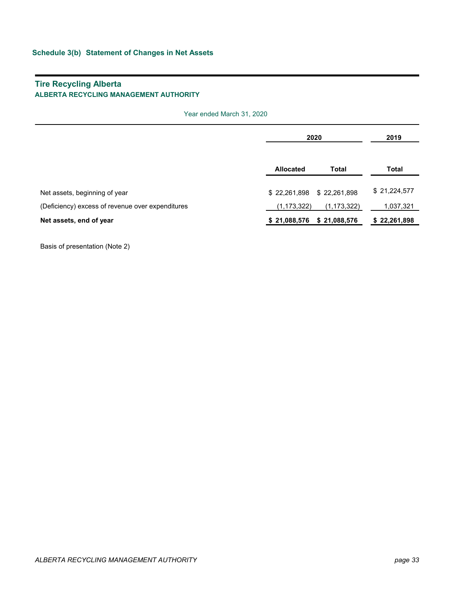Year ended March 31, 2020

|                                                  |                           | 2020          | 2019         |
|--------------------------------------------------|---------------------------|---------------|--------------|
|                                                  | <b>Allocated</b>          | Total         | <b>Total</b> |
| Net assets, beginning of year                    | \$22,261,898 \$22,261,898 |               | \$21,224,577 |
| (Deficiency) excess of revenue over expenditures | (1, 173, 322)             | (1, 173, 322) | 1,037,321    |
| Net assets, end of year                          | \$21,088,576 \$21,088,576 |               | \$22,261,898 |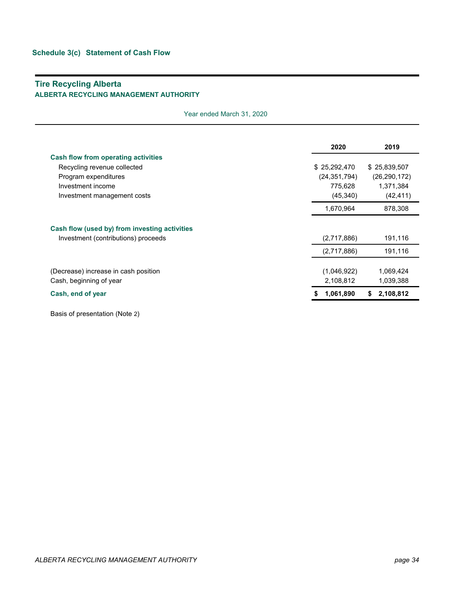Year ended March 31, 2020

|                                                                 | 2020                     | 2019                   |
|-----------------------------------------------------------------|--------------------------|------------------------|
| <b>Cash flow from operating activities</b>                      |                          |                        |
| Recycling revenue collected                                     | \$25,292,470             | \$25,839,507           |
| Program expenditures                                            | (24, 351, 794)           | (26, 290, 172)         |
| Investment income                                               | 775,628                  | 1,371,384              |
| Investment management costs                                     | (45,340)                 | (42, 411)              |
|                                                                 | 1,670,964                | 878,308                |
| Cash flow (used by) from investing activities                   |                          |                        |
| Investment (contributions) proceeds                             | (2,717,886)              | 191,116                |
|                                                                 | (2,717,886)              | 191,116                |
| (Decrease) increase in cash position<br>Cash, beginning of year | (1,046,922)<br>2,108,812 | 1,069,424<br>1,039,388 |
| Cash, end of year                                               | 1,061,890                | 2,108,812<br>S         |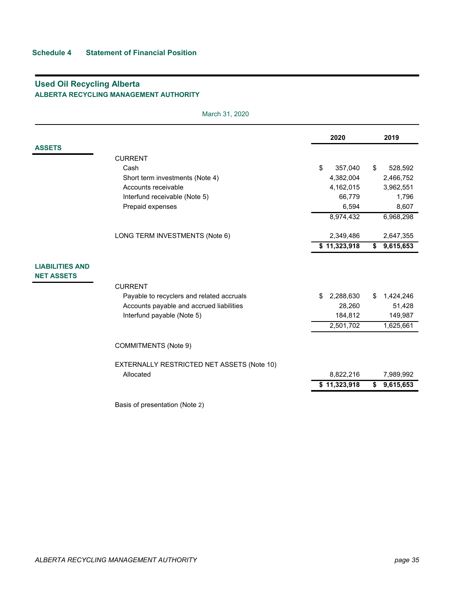|                                             |                                            | 2020            | 2019            |
|---------------------------------------------|--------------------------------------------|-----------------|-----------------|
| <b>ASSETS</b>                               |                                            |                 |                 |
|                                             | <b>CURRENT</b>                             |                 |                 |
|                                             | Cash                                       | \$<br>357,040   | \$<br>528,592   |
|                                             | Short term investments (Note 4)            | 4,382,004       | 2,466,752       |
|                                             | Accounts receivable                        | 4,162,015       | 3,962,551       |
|                                             | Interfund receivable (Note 5)              | 66,779          | 1,796           |
|                                             | Prepaid expenses                           | 6,594           | 8,607           |
|                                             |                                            | 8,974,432       | 6,968,298       |
|                                             | LONG TERM INVESTMENTS (Note 6)             | 2,349,486       | 2,647,355       |
|                                             |                                            | \$11,323,918    | 9,615,653<br>\$ |
| <b>LIABILITIES AND</b><br><b>NET ASSETS</b> |                                            |                 |                 |
|                                             | <b>CURRENT</b>                             |                 |                 |
|                                             | Payable to recyclers and related accruals  | 2,288,630<br>\$ | 1,424,246<br>\$ |
|                                             | Accounts payable and accrued liabilities   | 28,260          | 51,428          |
|                                             | Interfund payable (Note 5)                 | 184,812         | 149,987         |
|                                             |                                            | 2,501,702       | 1,625,661       |
|                                             | <b>COMMITMENTS (Note 9)</b>                |                 |                 |
|                                             | EXTERNALLY RESTRICTED NET ASSETS (Note 10) |                 |                 |
|                                             | Allocated                                  | 8,822,216       | 7,989,992       |
|                                             |                                            |                 |                 |

March 31, 2020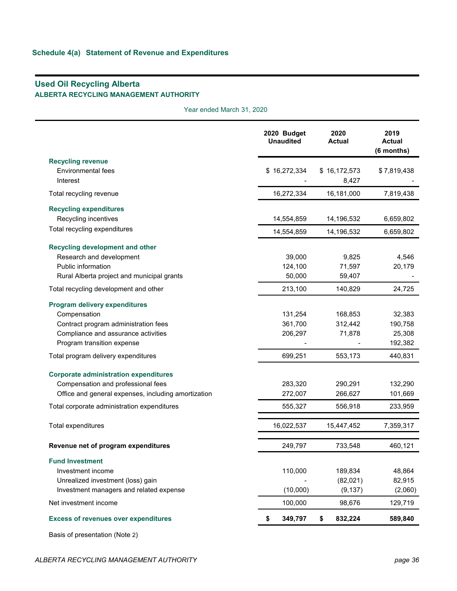Year ended March 31, 2020

|                                                                   | 2020 Budget<br><b>Unaudited</b> | 2020<br><b>Actual</b> | 2019<br><b>Actual</b><br>(6 months) |
|-------------------------------------------------------------------|---------------------------------|-----------------------|-------------------------------------|
| <b>Recycling revenue</b><br><b>Environmental fees</b><br>Interest | \$16,272,334                    | \$16,172,573<br>8,427 | \$7,819,438                         |
| Total recycling revenue                                           | 16,272,334                      | 16,181,000            | 7,819,438                           |
| <b>Recycling expenditures</b>                                     |                                 |                       |                                     |
| Recycling incentives                                              | 14,554,859                      | 14,196,532            | 6,659,802                           |
| Total recycling expenditures                                      | 14,554,859                      | 14,196,532            | 6,659,802                           |
| Recycling development and other                                   |                                 |                       |                                     |
| Research and development                                          | 39,000                          | 9,825                 | 4,546                               |
| Public information                                                | 124,100                         | 71,597                | 20,179                              |
| Rural Alberta project and municipal grants                        | 50,000                          | 59,407                |                                     |
| Total recycling development and other                             | 213,100                         | 140,829               | 24,725                              |
| Program delivery expenditures                                     |                                 |                       |                                     |
| Compensation                                                      | 131,254                         | 168,853               | 32,383                              |
| Contract program administration fees                              | 361,700                         | 312,442               | 190,758                             |
| Compliance and assurance activities                               | 206,297                         | 71,878                | 25,308                              |
| Program transition expense                                        |                                 |                       | 192,382                             |
| Total program delivery expenditures                               | 699,251                         | 553,173               | 440,831                             |
| <b>Corporate administration expenditures</b>                      |                                 |                       |                                     |
| Compensation and professional fees                                | 283,320                         | 290,291               | 132,290                             |
| Office and general expenses, including amortization               | 272,007                         | 266,627               | 101,669                             |
| Total corporate administration expenditures                       | 555,327                         | 556,918               | 233,959                             |
| Total expenditures                                                | 16,022,537                      | 15,447,452            | 7,359,317                           |
| Revenue net of program expenditures                               | 249,797                         | 733,548               | 460,121                             |
| <b>Fund Investment</b>                                            |                                 |                       |                                     |
| Investment income                                                 | 110,000                         | 189,834               | 48,864                              |
| Unrealized investment (loss) gain                                 |                                 | (82,021)              | 82,915                              |
| Investment managers and related expense                           | (10,000)                        | (9, 137)              | (2,060)                             |
| Net investment income                                             | 100,000                         | 98,676                | 129,719                             |
| <b>Excess of revenues over expenditures</b>                       | 349,797<br>\$                   | \$<br>832,224         | 589,840                             |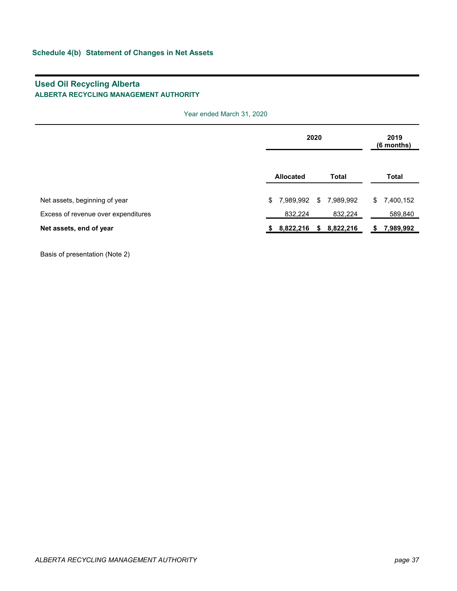| Year ended March 31, 2020 |  |  |
|---------------------------|--|--|
|                           |  |  |

|                                     |      |                  | 2020 |              | 2019<br>$(6$ months) |
|-------------------------------------|------|------------------|------|--------------|----------------------|
|                                     |      | <b>Allocated</b> |      | <b>Total</b> | Total                |
| Net assets, beginning of year       | \$   | 7,989,992        | \$   | 7,989,992    | \$<br>7,400,152      |
| Excess of revenue over expenditures |      | 832,224          |      | 832,224      | 589,840              |
| Net assets, end of year             | - 56 | 8,822,216        | \$   | 8,822,216    | \$<br>7,989,992      |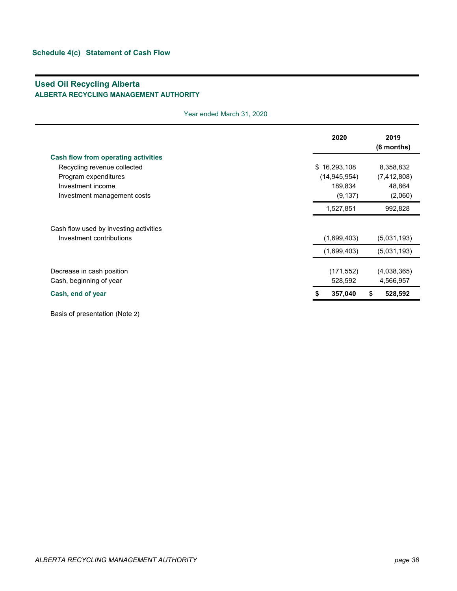|                                            | 2020           | 2019<br>(6 months) |
|--------------------------------------------|----------------|--------------------|
| <b>Cash flow from operating activities</b> |                |                    |
| Recycling revenue collected                | \$16,293,108   | 8,358,832          |
| Program expenditures                       | (14, 945, 954) | (7, 412, 808)      |
| Investment income                          | 189,834        | 48,864             |
| Investment management costs                | (9, 137)       | (2,060)            |
|                                            | 1,527,851      | 992,828            |
| Cash flow used by investing activities     |                |                    |
| Investment contributions                   | (1,699,403)    | (5,031,193)        |
|                                            | (1,699,403)    | (5,031,193)        |
| Decrease in cash position                  | (171, 552)     | (4,038,365)        |
| Cash, beginning of year                    | 528,592        | 4,566,957          |
| Cash, end of year                          | 357,040        | 528,592<br>\$      |
|                                            |                |                    |

Year ended March 31, 2020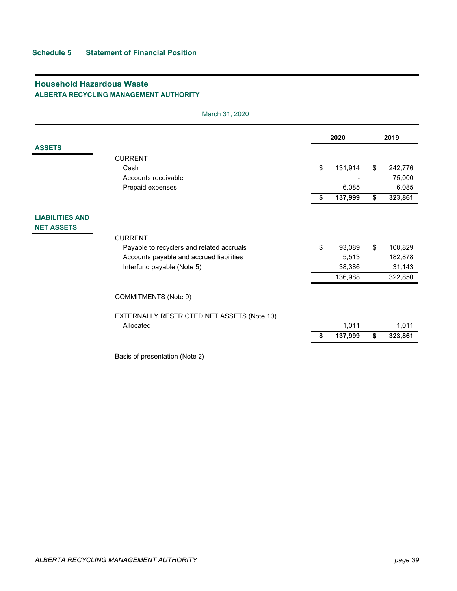# **Household Hazardous Waste ALBERTA RECYCLING MANAGEMENT AUTHORITY**

|                                             |                                            | 2020          | 2019          |
|---------------------------------------------|--------------------------------------------|---------------|---------------|
| <b>ASSETS</b>                               |                                            |               |               |
|                                             | <b>CURRENT</b>                             |               |               |
|                                             | Cash                                       | \$<br>131,914 | \$<br>242,776 |
|                                             | Accounts receivable                        |               | 75,000        |
|                                             | Prepaid expenses                           | 6,085         | 6,085         |
|                                             |                                            | \$<br>137,999 | \$<br>323,861 |
| <b>LIABILITIES AND</b><br><b>NET ASSETS</b> |                                            |               |               |
|                                             | <b>CURRENT</b>                             |               |               |
|                                             | Payable to recyclers and related accruals  | \$<br>93,089  | \$<br>108,829 |
|                                             | Accounts payable and accrued liabilities   | 5,513         | 182,878       |
|                                             | Interfund payable (Note 5)                 | 38,386        | 31,143        |
|                                             |                                            | 136,988       | 322,850       |
|                                             | <b>COMMITMENTS (Note 9)</b>                |               |               |
|                                             | EXTERNALLY RESTRICTED NET ASSETS (Note 10) |               |               |
|                                             | Allocated                                  | 1,011         | 1,011         |
|                                             |                                            | \$<br>137,999 | \$<br>323,861 |

March 31, 2020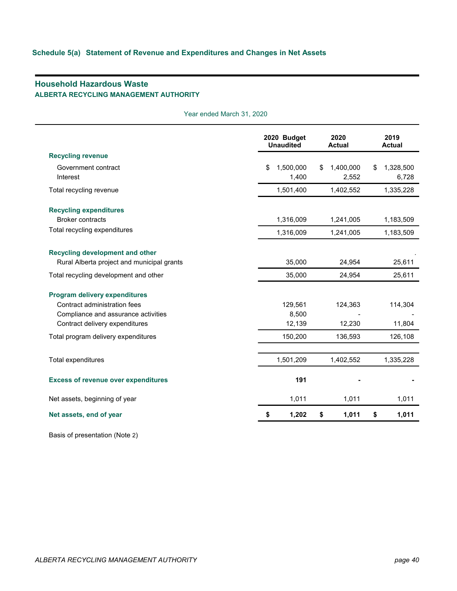# **Household Hazardous Waste ALBERTA RECYCLING MANAGEMENT AUTHORITY**

Year ended March 31, 2020

| <b>Recycling revenue</b><br>Government contract<br>\$<br>Interest | 1,500,000<br>1,400,000<br>\$<br>1,400 | 1,328,500<br>\$<br>2,552<br>6,728 |
|-------------------------------------------------------------------|---------------------------------------|-----------------------------------|
|                                                                   |                                       |                                   |
|                                                                   |                                       |                                   |
|                                                                   |                                       |                                   |
| Total recycling revenue                                           | 1,501,400<br>1,402,552                | 1,335,228                         |
| <b>Recycling expenditures</b>                                     |                                       |                                   |
| <b>Broker contracts</b>                                           | 1,316,009<br>1,241,005                | 1,183,509                         |
| Total recycling expenditures                                      | 1,316,009<br>1,241,005                | 1,183,509                         |
| Recycling development and other                                   |                                       |                                   |
| Rural Alberta project and municipal grants                        | 35,000<br>24,954                      | 25,611                            |
| Total recycling development and other                             | 35,000<br>24,954                      | 25,611                            |
| Program delivery expenditures                                     |                                       |                                   |
| Contract administration fees                                      | 129,561<br>124,363                    | 114,304                           |
| Compliance and assurance activities                               | 8,500                                 |                                   |
| Contract delivery expenditures                                    | 12,139<br>12,230                      | 11,804                            |
| Total program delivery expenditures                               | 150,200<br>136,593                    | 126,108                           |
| Total expenditures                                                | 1,501,209<br>1,402,552                | 1,335,228                         |
| <b>Excess of revenue over expenditures</b>                        | 191                                   |                                   |
|                                                                   |                                       |                                   |
| Net assets, beginning of year                                     | 1,011                                 | 1,011<br>1,011                    |
| Net assets, end of year                                           | 1,202<br>\$                           | 1,011<br>1,011<br>\$              |